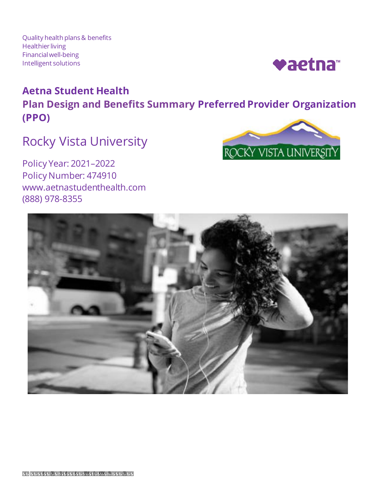Quality health plans & benefits Healthier living Financialwell-being Intelligent solutions



# **Aetna Student Health Plan Design and Benefits Summary Preferred Provider Organization (PPO)**

# Rocky Vista University

Policy Year: 2021–2022 Policy Number: 474910 www.aetnastudenthealth.com (888) 978-8355



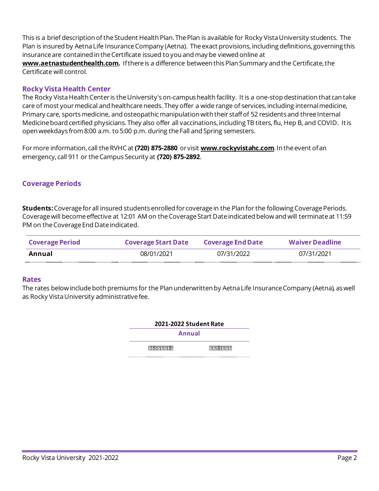This is a brief description of the Student Health Plan. The Plan is available for Rocky Vista University students. The Plan is insured by Aetna Life Insurance Company (Aetna). The exact provisions, including definitions, governing this insuranceare contained in theCertificate issued to you and may be viewed online at

**[www.aetnastudenthealth.com](http://www.aetnastudenthealth.com/).** Ifthereis a difference between thisPlan Summary and the Certificate,the Certificate will control.

## **Rocky Vista Health Center**

 The Rocky Vista Health Center is the University's on-campus health facility. It is a one-stop destination thatcan take care of most your medical and healthcare needs. They offer a wide range of services, including internal medicine, Primary care, sports medicine, and osteopathic manipulation with their staffof 52 residents and three Internal Medicine board certified physicians. They also offer all vaccinations, including TB titers, flu, Hep B, and COVID. It is open weekdays from 8:00 a.m. to 5:00 p.m. during the Fall and Spring semesters.

Formore information, call theRVHCat **(720) 875-2880** or visit **[www.rockyvistahc.com](http://www.rockyvistahc.com/)**.In the event ofan emergency, call 911 or the Campus Security at **(720) 875-2892**.

## **Coverage Periods**

 **Students:**Coverage for all insured students enrolled for coverage in the Plan for the following Coverage Periods. Coverage will become effective at 12:01 AM on the Coverage Start Date indicated below and will terminate at 11:59 PM on the Coverage End Date indicated.

| <b>Coverage Period</b> | <b>Coverage Start Date</b> | <b>Coverage End Date</b> | <b>Waiver Deadline</b> |
|------------------------|----------------------------|--------------------------|------------------------|
| Annual                 | 08/01/2021                 | 07/31/2022               | 07/31/2021             |

#### **Rates**

 The rates below include both premiums for the Plan underwritten by Aetna Life Insurance Company (Aetna), as well as Rocky Vista University administrative fee.

| 2021-2022 Student Rate |         |  |
|------------------------|---------|--|
| Annual                 |         |  |
| Student                | \$4,646 |  |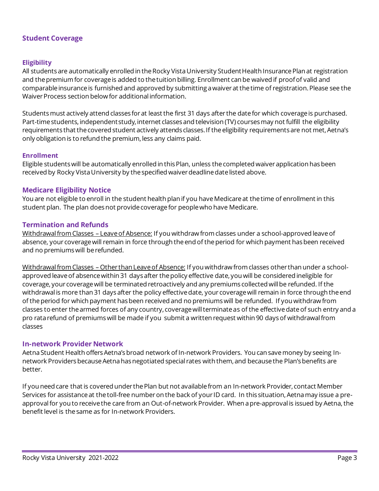#### **Student Coverage**

#### **Eligibility**

All students are automatically enrolled in the Rocky Vista University Student Health Insurance Plan at registration and the premium for coverage is added to the tuition billing. Enrollment can be waived if proofof valid and comparable insurance is furnished and approved by submitting a waiver at the time of registration.Please see the Waiver Process section below for additional information.

Studentsmust actively attend classes forat least the first 31 days after the datefor which coverageis purchased. Part-timestudents, independentstudy, internet classes and television (TV) coursesmay not fulfill the eligibility requirements that the covered student actively attends classes. If the eligibility requirements are not met, Aetna's only obligation is to refund the premium, less any claims paid.

#### **Enrollment**

 Eligible students will be automatically enrolled in this Plan, unless the completed waiver application has been received by Rocky Vista University by the specified waiver deadline date listed above.

#### **Medicare Eligibility Notice**

 You are not eligible to enroll in the student health plan if you have Medicare at the time of enrollment in this student plan. The plan does not provide coverage for people who have Medicare.

#### **Termination and Refunds**

Withdrawal from Classes – Leave of Absence: If you withdraw from classes under a school-approved leave of absence, your coverage will remain in force through the end of the period for which payment has been received and no premiumswill berefunded.

Withdrawal from Classes – Other than Leave of Absence: If you withdraw from classes other than under a schoolapproved leaveof absencewithin 31 days after thepolicy effective date, you will be considered ineligible for coverage, your coveragewill be terminated retroactively and any premiums collected willbe refunded. If the withdrawal is more than 31 days after the policy effectivedate, your coveragewill remain in force through theend of the period for which payment has been received and no premiums will be refunded. If you withdraw from classes to enter the armed forces of any country, coverage will terminate as of the effective date of such entry and a pro ratarefund of premiumswill be made if you submit a written request within 90 daysof withdrawalfrom classes

#### **In-network Provider Network**

Aetna Student Health offers Aetna's broad network of In-network Providers. You can save money by seeing Innetwork Providers because Aetna has negotiated special rates with them, and because the Plan's benefits are better.

 If you need care that is covered under the Plan but not available from an In-network Provider, contact Member Services for assistance at the toll-free number on the back of your ID card. In this situation, Aetna may issue a pre- approval for you to receive the care from an Out-of-network Provider. When a pre-approval is issued by Aetna, the benefit level is the same as for In-network Providers.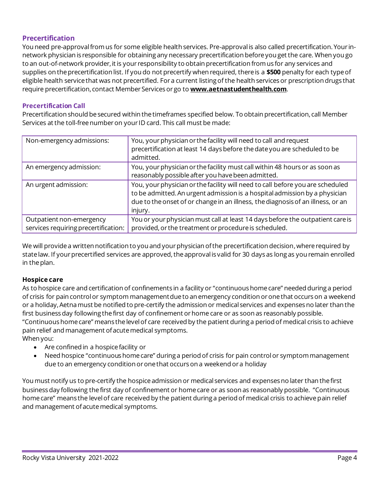## **Precertification**

You need pre-approvalfromus for some eligible health services. Pre-approval is also called precertification. Your innetwork physician is responsible for obtaining any necessary precertification beforeyou get the care. When you go to an out-of-network provider, it is your responsibility to obtain precertification fromus for any services and supplies on the precertification list. If you do not precertify when required, there is a **\$500** penalty for each typeof eligible health service that was not precertified. For a current listing of the health services or prescription drugs that require precertification, contact Member Services or go to **[www.aetnastudenthealth.com](http://www.aetnastudenthealth.com/)**.

## **Precertification Call**

 Precertification should be secured within the timeframes specified below. To obtain precertification, call Member Services at the toll-free number on your ID card. This call must be made:

| Non-emergency admissions:                                        | You, your physician or the facility will need to call and request<br>precertification at least 14 days before the date you are scheduled to be<br>admitted.                                                                                                |
|------------------------------------------------------------------|------------------------------------------------------------------------------------------------------------------------------------------------------------------------------------------------------------------------------------------------------------|
| An emergency admission:                                          | You, your physician or the facility must call within 48 hours or as soon as<br>reasonably possible after you have been admitted.                                                                                                                           |
| An urgent admission:                                             | You, your physician or the facility will need to call before you are scheduled<br>to be admitted. An urgent admission is a hospital admission by a physician<br>due to the onset of or change in an illness, the diagnosis of an illness, or an<br>injury. |
| Outpatient non-emergency<br>services requiring precertification: | You or your physician must call at least 14 days before the outpatient care is<br>provided, or the treatment or procedure is scheduled.                                                                                                                    |

 We will provide a written notification to you and your physician ofthe precertification decision,where required by state law. If your precertified services are approved, the approval is valid for 30 days as long as you remain enrolled in the plan.

#### **Hospice care**

As to hospice care and certification of confinements in a facility or "continuoushomecare" needed during a period of crisis for pain controlor symptom managementdueto an emergency condition oronethat occurson a weekend or a holiday, Aetna must be notified to pre-certify the admission or medical services and expenses no later than the first business day following the first day of confinement or home care or as soon as reasonably possible. "Continuoushomecare" means thelevelof care received by the patient during a period of medical crisis to achieve pain relief and management ofacutemedical symptoms. When you:

- • Are confined in a hospice facility or
- Need hospice "continuous home care" during a period of crisis for pain control or symptom management due to an emergency condition or one that occurs on a weekend or a holiday

You must notify us to pre-certify the hospice admission or medical services and expenses no later than the first businessday following thefirst day of confinement or homecare or as soon as reasonably possible. "Continuous home care" means the level of care received by the patient during a period of medical crisis to achieve pain relief and management ofacutemedical symptoms.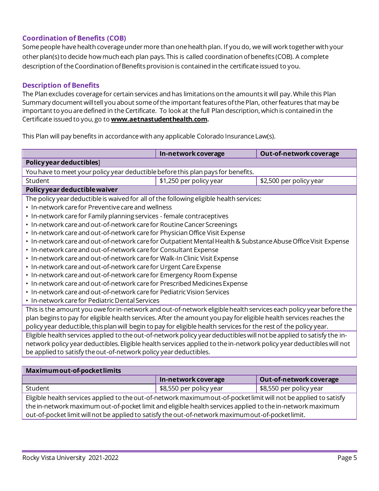## **Coordination of Benefits (COB)**

 Some people have health coverage under more than one health plan. If you do, we will work together with your other plan(s) to decide how much each plan pays.This is called coordination ofbenefits (COB). A complete description of the Coordination ofBenefits provision is contained in the certificate issued to you.

## **Description of Benefits**

The Plan excludes coverage for certain services and has limitations on the amounts it will pay. While this Plan Summary document will tell you about some of the important features of the Plan, other features that may be important to you are defined in the Certificate. To look at the full Plan description, which is contained in the Certificate issued to you, go to **[www.aetnastudenthealth.com](http://www.aetnastudenthealth.com/).** 

This Plan will pay benefits in accordance with any applicable Colorado Insurance Law(s).

|                                                                                                                       | In-network coverage     | Out-of-network coverage |
|-----------------------------------------------------------------------------------------------------------------------|-------------------------|-------------------------|
| Policy year deductibles]                                                                                              |                         |                         |
| You have to meet your policy year deductible before this plan pays for benefits.                                      |                         |                         |
| Student                                                                                                               | \$1,250 per policy year | \$2,500 per policy year |
| Policy year deductible waiver                                                                                         |                         |                         |
| The policy year deductible is waived for all of the following eligible health services:                               |                         |                         |
| • In-network care for Preventive care and wellness                                                                    |                         |                         |
| • In-network care for Family planning services - female contraceptives                                                |                         |                         |
| • In-network care and out-of-network care for Routine Cancer Screenings                                               |                         |                         |
| • In-network care and out-of-network care for Physician Office Visit Expense                                          |                         |                         |
| • In-network care and out-of-network care for Outpatient Mental Health & Substance Abuse Office Visit Expense         |                         |                         |
| • In-network care and out-of-network care for Consultant Expense                                                      |                         |                         |
| • In-network care and out-of-network care for Walk-In Clinic Visit Expense                                            |                         |                         |
| • In-network care and out-of-network care for Urgent Care Expense                                                     |                         |                         |
| • In-network care and out-of-network care for Emergency Room Expense                                                  |                         |                         |
| • In-network care and out-of-network care for Prescribed Medicines Expense                                            |                         |                         |
| • In-network care and out-of-network care for Pediatric Vision Services                                               |                         |                         |
| • In-network care for Pediatric Dental Services                                                                       |                         |                         |
| This is the amount you owe for in-network and out-of-network eligible health services each policy year before the     |                         |                         |
| plan begins to pay for eligible health services. After the amount you pay for eligible health services reaches the    |                         |                         |
| policy year deductible, this plan will begin to pay for eligible health services for the rest of the policy year.     |                         |                         |
| Eligible health services applied to the out-of-network policy year deductibles will not be applied to satisfy the in- |                         |                         |
| network policy year deductibles. Eligible health services applied to the in-network policy year deductibles will not  |                         |                         |
| be applied to satisfy the out-of-network policy year deductibles.                                                     |                         |                         |
|                                                                                                                       |                         |                         |
| Maximum out of nodest limits                                                                                          |                         |                         |

| Maximum out-of-pocket limits                                                                                      |                         |                                       |  |
|-------------------------------------------------------------------------------------------------------------------|-------------------------|---------------------------------------|--|
|                                                                                                                   | In-network coverage     | Out-of-network coverage               |  |
| Student                                                                                                           | \$8,550 per policy year | $\frac{1}{2}$ \$8,550 per policy year |  |
| Eligible health services applied to the out-of-network maximum out-of-pocket limit will not be applied to satisfy |                         |                                       |  |
| the in-network maximum out-of-pocket limit and eligible health services applied to the in-network maximum         |                         |                                       |  |
| out-of-pocket limit will not be applied to satisfy the out-of-network maximumout-of-pocket limit.                 |                         |                                       |  |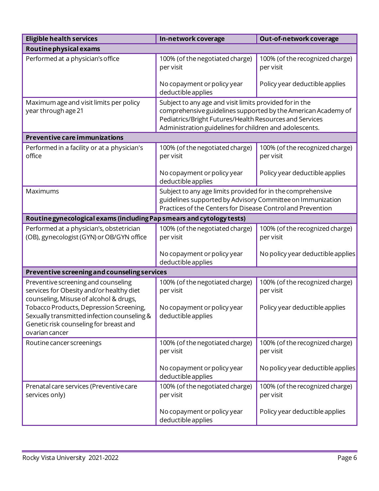| <b>Eligible health services</b>                                                                                                                    | In-network coverage                                                                                                                                                                                                                            | Out-of-network coverage                      |
|----------------------------------------------------------------------------------------------------------------------------------------------------|------------------------------------------------------------------------------------------------------------------------------------------------------------------------------------------------------------------------------------------------|----------------------------------------------|
| Routine physical exams                                                                                                                             |                                                                                                                                                                                                                                                |                                              |
| Performed at a physician's office                                                                                                                  | 100% (of the negotiated charge)<br>per visit                                                                                                                                                                                                   | 100% (of the recognized charge)<br>per visit |
|                                                                                                                                                    | No copayment or policy year<br>deductible applies                                                                                                                                                                                              | Policy year deductible applies               |
| Maximum age and visit limits per policy<br>year through age 21                                                                                     | Subject to any age and visit limits provided for in the<br>comprehensive guidelines supported by the American Academy of<br>Pediatrics/Bright Futures/Health Resources and Services<br>Administration guidelines for children and adolescents. |                                              |
| <b>Preventive care immunizations</b>                                                                                                               |                                                                                                                                                                                                                                                |                                              |
| Performed in a facility or at a physician's<br>office                                                                                              | 100% (of the negotiated charge)<br>per visit                                                                                                                                                                                                   | 100% (of the recognized charge)<br>per visit |
|                                                                                                                                                    | No copayment or policy year<br>deductible applies                                                                                                                                                                                              | Policy year deductible applies               |
| Maximums                                                                                                                                           | Subject to any age limits provided for in the comprehensive<br>guidelines supported by Advisory Committee on Immunization<br>Practices of the Centers for Disease Control and Prevention                                                       |                                              |
| Routine gynecological exams (including Pap smears and cytology tests)                                                                              |                                                                                                                                                                                                                                                |                                              |
| Performed at a physician's, obstetrician<br>(OB), gynecologist (GYN) or OB/GYN office                                                              | 100% (of the negotiated charge)<br>per visit                                                                                                                                                                                                   | 100% (of the recognized charge)<br>per visit |
|                                                                                                                                                    | No copayment or policy year<br>deductible applies                                                                                                                                                                                              | No policy year deductible applies            |
| Preventive screening and counseling services                                                                                                       |                                                                                                                                                                                                                                                |                                              |
| Preventive screening and counseling<br>services for Obesity and/or healthy diet<br>counseling, Misuse of alcohol & drugs,                          | 100% (of the negotiated charge)<br>per visit                                                                                                                                                                                                   | 100% (of the recognized charge)<br>per visit |
| Tobacco Products, Depression Screening,<br>Sexually transmitted infection counseling &<br>Genetic risk counseling for breast and<br>ovarian cancer | No copayment or policy year<br>deductible applies                                                                                                                                                                                              | Policy year deductible applies               |
| Routine cancer screenings                                                                                                                          | 100% (of the negotiated charge)<br>per visit                                                                                                                                                                                                   | 100% (of the recognized charge)<br>per visit |
|                                                                                                                                                    | No copayment or policy year<br>deductible applies                                                                                                                                                                                              | No policy year deductible applies            |
| Prenatal care services (Preventive care<br>services only)                                                                                          | 100% (of the negotiated charge)<br>per visit                                                                                                                                                                                                   | 100% (of the recognized charge)<br>per visit |
|                                                                                                                                                    | No copayment or policy year<br>deductible applies                                                                                                                                                                                              | Policy year deductible applies               |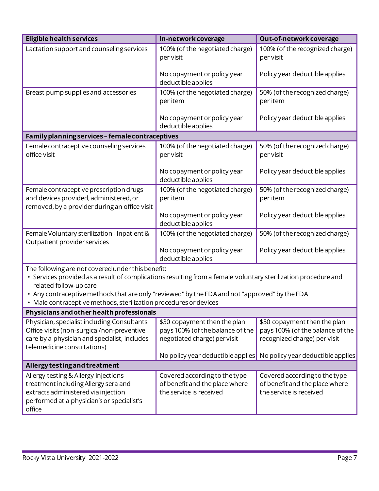| <b>Eligible health services</b>                                                                                                                                                                                                                                                                                                                                     | In-network coverage                                                                                                                   | Out-of-network coverage                                                                                                               |  |
|---------------------------------------------------------------------------------------------------------------------------------------------------------------------------------------------------------------------------------------------------------------------------------------------------------------------------------------------------------------------|---------------------------------------------------------------------------------------------------------------------------------------|---------------------------------------------------------------------------------------------------------------------------------------|--|
| Lactation support and counseling services                                                                                                                                                                                                                                                                                                                           | 100% (of the negotiated charge)<br>per visit                                                                                          | 100% (of the recognized charge)<br>per visit                                                                                          |  |
|                                                                                                                                                                                                                                                                                                                                                                     | No copayment or policy year<br>deductible applies                                                                                     | Policy year deductible applies                                                                                                        |  |
| Breast pump supplies and accessories                                                                                                                                                                                                                                                                                                                                | 100% (of the negotiated charge)<br>per item                                                                                           | 50% (of the recognized charge)<br>per item                                                                                            |  |
|                                                                                                                                                                                                                                                                                                                                                                     | No copayment or policy year<br>deductible applies                                                                                     | Policy year deductible applies                                                                                                        |  |
| Family planning services - female contraceptives                                                                                                                                                                                                                                                                                                                    |                                                                                                                                       |                                                                                                                                       |  |
| Female contraceptive counseling services<br>office visit                                                                                                                                                                                                                                                                                                            | 100% (of the negotiated charge)<br>per visit                                                                                          | 50% (of the recognized charge)<br>per visit                                                                                           |  |
|                                                                                                                                                                                                                                                                                                                                                                     | No copayment or policy year<br>deductible applies                                                                                     | Policy year deductible applies                                                                                                        |  |
| Female contraceptive prescription drugs<br>and devices provided, administered, or<br>removed, by a provider during an office visit                                                                                                                                                                                                                                  | 100% (of the negotiated charge)<br>per item                                                                                           | 50% (of the recognized charge)<br>per item                                                                                            |  |
|                                                                                                                                                                                                                                                                                                                                                                     | No copayment or policy year<br>deductible applies                                                                                     | Policy year deductible applies                                                                                                        |  |
| Female Voluntary sterilization - Inpatient &<br>Outpatient provider services                                                                                                                                                                                                                                                                                        | 100% (of the negotiated charge)                                                                                                       | 50% (of the recognized charge)                                                                                                        |  |
|                                                                                                                                                                                                                                                                                                                                                                     | No copayment or policy year<br>deductible applies                                                                                     | Policy year deductible applies                                                                                                        |  |
| The following are not covered under this benefit:<br>• Services provided as a result of complications resulting from a female voluntary sterilization procedure and<br>related follow-up care<br>. Any contraceptive methods that are only "reviewed" by the FDA and not "approved" by the FDA<br>· Male contraceptive methods, sterilization procedures or devices |                                                                                                                                       |                                                                                                                                       |  |
| Physicians and other health professionals                                                                                                                                                                                                                                                                                                                           |                                                                                                                                       |                                                                                                                                       |  |
| Physician, specialist including Consultants<br>Office visits (non-surgical/non-preventive<br>care by a physician and specialist, includes<br>telemedicine consultations)                                                                                                                                                                                            | \$30 copayment then the plan<br>pays 100% (of the balance of the<br>negotiated charge) per visit<br>No policy year deductible applies | \$50 copayment then the plan<br>pays 100% (of the balance of the<br>recognized charge) per visit<br>No policy year deductible applies |  |
| Allergy testing and treatment                                                                                                                                                                                                                                                                                                                                       |                                                                                                                                       |                                                                                                                                       |  |
| Allergy testing & Allergy injections<br>treatment including Allergy sera and<br>extracts administered via injection                                                                                                                                                                                                                                                 | Covered according to the type<br>of benefit and the place where<br>the service is received                                            | Covered according to the type<br>of benefit and the place where<br>the service is received                                            |  |

office

performed at a physician'sor specialist's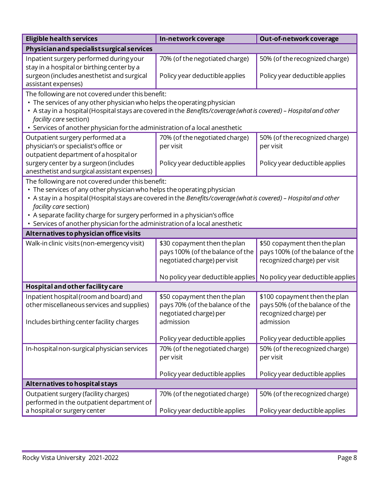| <b>Eligible health services</b>                                                                                                                                                                                                                                                                                                                                                                                                            | In-network coverage                                                                                                                                                                                                                                | Out-of-network coverage                                                                                                                                                 |  |  |
|--------------------------------------------------------------------------------------------------------------------------------------------------------------------------------------------------------------------------------------------------------------------------------------------------------------------------------------------------------------------------------------------------------------------------------------------|----------------------------------------------------------------------------------------------------------------------------------------------------------------------------------------------------------------------------------------------------|-------------------------------------------------------------------------------------------------------------------------------------------------------------------------|--|--|
| Physician and specialist surgical services                                                                                                                                                                                                                                                                                                                                                                                                 |                                                                                                                                                                                                                                                    |                                                                                                                                                                         |  |  |
| Inpatient surgery performed during your<br>stay in a hospital or birthing center by a                                                                                                                                                                                                                                                                                                                                                      | 70% (of the negotiated charge)                                                                                                                                                                                                                     | 50% (of the recognized charge)                                                                                                                                          |  |  |
| surgeon (includes anesthetist and surgical<br>assistant expenses)                                                                                                                                                                                                                                                                                                                                                                          | Policy year deductible applies                                                                                                                                                                                                                     | Policy year deductible applies                                                                                                                                          |  |  |
| facility care section)<br>• Services of another physician for the administration of a local anesthetic                                                                                                                                                                                                                                                                                                                                     | The following are not covered under this benefit:<br>• The services of any other physician who helps the operating physician<br>• A stay in a hospital (Hospital stays are covered in the Benefits/coverage (what is covered) - Hospital and other |                                                                                                                                                                         |  |  |
| Outpatient surgery performed at a<br>physician's or specialist's office or<br>outpatient department of a hospital or                                                                                                                                                                                                                                                                                                                       | 70% (of the negotiated charge)<br>per visit                                                                                                                                                                                                        | 50% (of the recognized charge)<br>per visit                                                                                                                             |  |  |
| surgery center by a surgeon (includes<br>anesthetist and surgical assistant expenses)                                                                                                                                                                                                                                                                                                                                                      | Policy year deductible applies                                                                                                                                                                                                                     | Policy year deductible applies                                                                                                                                          |  |  |
| The following are not covered under this benefit:<br>• The services of any other physician who helps the operating physician<br>• A stay in a hospital (Hospital stays are covered in the Benefits/coverage (what is covered) - Hospital and other<br>facility care section)<br>• A separate facility charge for surgery performed in a physician's office<br>• Services of another physician for the administration of a local anesthetic |                                                                                                                                                                                                                                                    |                                                                                                                                                                         |  |  |
| Alternatives to physician office visits                                                                                                                                                                                                                                                                                                                                                                                                    |                                                                                                                                                                                                                                                    |                                                                                                                                                                         |  |  |
| Walk-in clinic visits (non-emergency visit)                                                                                                                                                                                                                                                                                                                                                                                                | \$30 copayment then the plan<br>pays 100% (of the balance of the<br>negotiated charge) per visit                                                                                                                                                   | \$50 copayment then the plan<br>pays 100% (of the balance of the<br>recognized charge) per visit<br>No policy year deductible applies No policy year deductible applies |  |  |
| Hospital and other facility care                                                                                                                                                                                                                                                                                                                                                                                                           |                                                                                                                                                                                                                                                    |                                                                                                                                                                         |  |  |
| Inpatient hospital (room and board) and<br>other miscellaneous services and supplies)<br>Includes birthing center facility charges                                                                                                                                                                                                                                                                                                         | \$50 copayment then the plan<br>pays 70% (of the balance of the<br>negotiated charge) per<br>admission                                                                                                                                             | \$100 copayment then the plan<br>pays 50% (of the balance of the<br>recognized charge) per<br>admission                                                                 |  |  |
|                                                                                                                                                                                                                                                                                                                                                                                                                                            | Policy year deductible applies                                                                                                                                                                                                                     | Policy year deductible applies                                                                                                                                          |  |  |
| In-hospital non-surgical physician services                                                                                                                                                                                                                                                                                                                                                                                                | 70% (of the negotiated charge)<br>per visit                                                                                                                                                                                                        | 50% (of the recognized charge)<br>per visit                                                                                                                             |  |  |
|                                                                                                                                                                                                                                                                                                                                                                                                                                            | Policy year deductible applies                                                                                                                                                                                                                     | Policy year deductible applies                                                                                                                                          |  |  |
| Alternatives to hospital stays                                                                                                                                                                                                                                                                                                                                                                                                             |                                                                                                                                                                                                                                                    |                                                                                                                                                                         |  |  |
| Outpatient surgery (facility charges)<br>performed in the outpatient department of                                                                                                                                                                                                                                                                                                                                                         | 70% (of the negotiated charge)                                                                                                                                                                                                                     | 50% (of the recognized charge)                                                                                                                                          |  |  |
| a hospital or surgery center                                                                                                                                                                                                                                                                                                                                                                                                               | Policy year deductible applies                                                                                                                                                                                                                     | Policy year deductible applies                                                                                                                                          |  |  |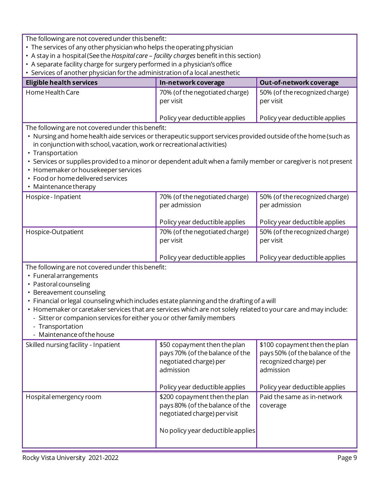The following are not covered under this benefit:

- The services of any other physician who helps the operating physician
- A stay in a hospital (See the *Hospital care – facility charges* benefit in this section)
- A separate facility charge for surgery performed in a physician'soffice
- Services of another physician for the administration of a local anesthetic

| <b>Eligible health services</b> | In-network coverage                           | Out-of-network coverage                     |
|---------------------------------|-----------------------------------------------|---------------------------------------------|
| Home Health Care                | 70% (of the negotiated charge)<br>per visit   | 50% (of the recognized charge)<br>per visit |
|                                 | $\blacksquare$ Policy year deductible applies | Policy year deductible applies              |

The following are not covered under this benefit:

- Nursing and home health aide services or therapeutic support services provided outside of the home (such as in conjunction with school, vacation, work or recreational activities)
- Transportation
- Services or supplies provided to a minor or dependent adult when a family member or caregiver is not present
- Homemaker or housekeeper services
- Food or home delivered services
- Maintenance therapy

| Hospice - Inpatient | 70% (of the negotiated charge)<br>per admission | 50% (of the recognized charge)<br>per admission |
|---------------------|-------------------------------------------------|-------------------------------------------------|
|                     | Policy year deductible applies                  | Policy year deductible applies                  |
| Hospice-Outpatient  | 70% (of the negotiated charge)<br>per visit     | 50% (of the recognized charge)<br>per visit     |
|                     | Policy year deductible applies                  | Policy year deductible applies                  |

- Funeral arrangements
- Pastoral counseling
- Bereavement counseling
- Financial or legal counseling which includes estate planning and the drafting of a will
- Homemaker or caretaker services that are services which are not solely related to your care and may include:
	- Sitter or companion services for either you or other family members
	- Transportation
	- Maintenance of the house

| Skilled nursing facility - Inpatient | \$50 copayment then the plan<br>pays 70% (of the balance of the<br>negotiated charge) per<br>admission                                | \$100 copayment then the plan<br>pays 50% (of the balance of the<br>recognized charge) per<br>admission |
|--------------------------------------|---------------------------------------------------------------------------------------------------------------------------------------|---------------------------------------------------------------------------------------------------------|
|                                      | Policy year deductible applies                                                                                                        | Policy year deductible applies                                                                          |
| Hospital emergency room              | \$200 copayment then the plan<br>pays 80% (of the balance of the<br>negotiated charge) per visit<br>No policy year deductible applies | Paid the same as in-network<br>coverage                                                                 |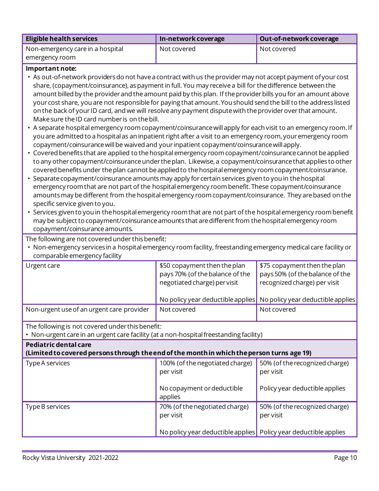| Eligible health services         | In-network coverage | Out-of-network coverage |
|----------------------------------|---------------------|-------------------------|
| Non-emergency care in a hospital | Not covered         | Not covered             |
| emergency room                   |                     |                         |

#### **Important note:**

- As out-of-network providers do not have a contract with us the provider may not accept payment ofyour cost share, (copayment/coinsurance), as payment in full. You may receive a bill for the difference between the amount billed by the provider and the amount paid by this plan. If the provider bills you for an amount above your cost share, you are not responsible for paying that amount.You should send the bill to the address listed on the back of your ID card, and we will resolve any payment dispute with the provider over that amount. Make sure the ID card number is on the bill.
- A separate hospital emergency room copayment/coinsurance will apply for each visit to an emergency room. If you are admitted to a hospital as an inpatient right after a visit to an emergency room, your emergency room copayment/coinsurance will be waived and your inpatient copayment/coinsurance will apply.
- Covered benefits that are applied to the hospital emergency room copayment/coinsurance cannot be applied to any other copayment/coinsurance under the plan. Likewise, a copayment/coinsurance that applies to other covered benefits under the plan cannot be applied to the hospital emergency room copayment/coinsurance.
- Separate copayment/coinsurance amounts may apply for certain services given to you in the hospital emergency room that are not part of the hospital emergency room benefit. These copayment/coinsurance amounts may be different from the hospital emergency room copayment/coinsurance. They are based on the specific service given to you.
- Services given to you in the hospital emergency room that are not part of the hospital emergency room benefit may be subject to copayment/coinsurance amounts that are different from the hospital emergency room copayment/coinsurance amounts.

The following are not covered under this benefit:

• Non-emergency services in a hospital emergency room facility, freestanding emergency medical care facility or comparable emergency facility

| Urgent care                                                                                                                                | \$50 copayment then the plan<br>pays 70% (of the balance of the<br>negotiated charge) per visit<br>No policy year deductible applies | \$75 copayment then the plan<br>pays 50% (of the balance of the<br>recognized charge) per visit<br>No policy year deductible applies |
|--------------------------------------------------------------------------------------------------------------------------------------------|--------------------------------------------------------------------------------------------------------------------------------------|--------------------------------------------------------------------------------------------------------------------------------------|
| Non-urgent use of an urgent care provider                                                                                                  | Not covered                                                                                                                          | Not covered                                                                                                                          |
| The following is not covered under this benefit:<br>• Non-urgent care in an urgent care facility (at a non-hospital freestanding facility) |                                                                                                                                      |                                                                                                                                      |
| Pediatric dental care                                                                                                                      |                                                                                                                                      |                                                                                                                                      |

## **(Limited to covered personsthrough theend of the monthin whichtheperson turns age 19)**

| Type A services | 100% (of the negotiated charge)<br>per visit                                                                      | 50% (of the recognized charge)<br>per visit |
|-----------------|-------------------------------------------------------------------------------------------------------------------|---------------------------------------------|
|                 | No copayment or deductible<br>applies                                                                             | Policy year deductible applies              |
| Type B services | 70% (of the negotiated charge)<br>per visit<br>No policy year deductible applies   Policy year deductible applies | 50% (of the recognized charge)<br>per visit |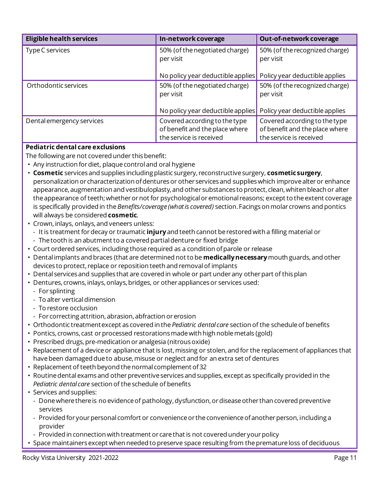| <b>Eligible health services</b> | In-network coverage                                                                        | Out-of-network coverage                                                                    |
|---------------------------------|--------------------------------------------------------------------------------------------|--------------------------------------------------------------------------------------------|
| Type C services                 | 50% (of the negotiated charge)<br>per visit                                                | 50% (of the recognized charge)<br>per visit                                                |
|                                 | No policy year deductible applies                                                          | Policy year deductible applies                                                             |
| Orthodontic services            | 50% (of the negotiated charge)<br>per visit                                                | 50% (of the recognized charge)<br>per visit                                                |
|                                 | No policy year deductible applies                                                          | Policy year deductible applies                                                             |
| Dental emergency services       | Covered according to the type<br>of benefit and the place where<br>the service is received | Covered according to the type<br>of benefit and the place where<br>the service is received |

## **Pediatric dental care exclusions**

- Any instruction for diet, plaque control and oral hygiene
- **Cosmetic** services and supplies including plastic surgery, reconstructive surgery, **cosmeticsurgery**, personalization or characterization ofdentures or other services and supplies which improve alter or enhance appearance, augmentation and vestibuloplasty, and other substances to protect, clean, whiten bleach or alter the appearance of teeth; whether or not for psychological or emotional reasons; except to the extent coverage is specifically provided in the *Benefits/coverage (what is covered)* section.Facings on molar crowns and pontics will always be considered **cosmetic**.
- Crown, inlays, onlays, and veneers unless:
- It is treatment for decay or traumatic **injury** and teeth cannot be restored with a filling material or
- The tooth is an abutment to a covered partial denture or fixed bridge
- Court ordered services, including those required as a condition of parole or release
- Dental implants and braces (that are determined not to be **medically necessary** mouth guards, and other devices to protect, replace or reposition teeth and removal of implants
- Dental services and supplies that are covered in whole or part under any other part of this plan
- Dentures, crowns, inlays, onlays, bridges, or other appliances or services used:
	- For splinting
	- To alter vertical dimension
	- To restore occlusion
- For correcting attrition, abrasion, abfraction or erosion
- Orthodontic treatmentexcept as covered in the *Pediatric dental care* section of the schedule of benefits
- Pontics, crowns, cast or processed restorations made with high noble metals (gold)
- Prescribed drugs, pre-medication or analgesia (nitrous oxide)
- Replacement of a device or appliance that is lost, missing or stolen, and for the replacement ofappliances that have been damaged due to abuse, misuse or neglect and for an extra set of dentures
- Replacement of teeth beyond the normal complement of 32
- Routine dental exams and other preventive services and supplies, except as specifically provided in the *Pediatric dental care* section of the schedule of benefits
- Services and supplies:
	- Done where there is no evidence of pathology, dysfunction, or disease other than covered preventive services
	- Provided for your personal comfort or convenience or the convenience of another person, including a provider
	- Provided in connection with treatment or care that is not covered under your policy
- Space maintainers except when needed to preserve space resulting from the premature loss of deciduous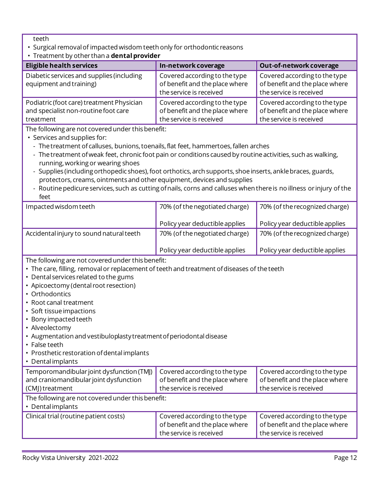teeth

- Surgical removal of impacted wisdom teeth only for orthodontic reasons
- Treatment by other than a **dental provider**

| <b>Eligible health services</b>                                                                       | In-network coverage                                                                        | Out-of-network coverage                                                                    |
|-------------------------------------------------------------------------------------------------------|--------------------------------------------------------------------------------------------|--------------------------------------------------------------------------------------------|
| Diabetic services and supplies (including<br>equipment and training)                                  | Covered according to the type<br>of benefit and the place where<br>the service is received | Covered according to the type<br>of benefit and the place where<br>the service is received |
| Podiatric (foot care) treatment Physician<br>and specialist non-routine foot care<br>treatment        | Covered according to the type<br>of benefit and the place where<br>the service is received | Covered according to the type<br>of benefit and the place where<br>the service is received |
| The following are not covered under this benefit:<br>$\sim$ $\sim$ $\sim$ $\sim$ $\sim$ $\sim$ $\sim$ |                                                                                            |                                                                                            |

- Services and supplies for:
	- The treatment of calluses, bunions, toenails, flat feet, hammertoes, fallen arches
- The treatment of weak feet, chronic foot pain or conditions caused by routine activities, such as walking, running, working or wearing shoes
- Supplies (including orthopedic shoes), foot orthotics, arch supports, shoe inserts, ankle braces, guards, protectors, creams, ointments and other equipment, devices and supplies
- Routine pedicure services, such as cutting of nails, corns and calluses when there is no illness or injury of the feet

| Impacted wisdom teeth                    | 70% (of the negotiated charge) | 70% (of the recognized charge) |
|------------------------------------------|--------------------------------|--------------------------------|
|                                          | Policy year deductible applies | Policy year deductible applies |
| Accidental injury to sound natural teeth | 70% (of the negotiated charge) | 70% (of the recognized charge) |
|                                          | Policy year deductible applies | Policy year deductible applies |
|                                          |                                |                                |

- The care, filling, removal or replacement of teeth and treatment of diseases of the teeth
- Dental services related to the gums
- Apicoectomy (dental root resection)
- Orthodontics
- Root canal treatment
- Soft tissue impactions
- Bony impacted teeth
- Alveolectomy
- Augmentation and vestibuloplastytreatmentofperiodontal disease
- False teeth
- Prosthetic restoration ofdental implants
- Dental implants

| Temporomandibular joint dysfunction (TMJ)<br>and craniomandibular joint dysfunction | Covered according to the type<br>of benefit and the place where | Covered according to the type<br>of benefit and the place where |  |
|-------------------------------------------------------------------------------------|-----------------------------------------------------------------|-----------------------------------------------------------------|--|
| (CMJ) treatment                                                                     | the service is received                                         | the service is received                                         |  |
| The following are not covered under this benefit:                                   |                                                                 |                                                                 |  |
| • Dental implants                                                                   |                                                                 |                                                                 |  |
| Clinical trial (routine patient costs)                                              | Covered according to the type                                   | Covered according to the type                                   |  |
|                                                                                     | of benefit and the place where                                  | of benefit and the place where                                  |  |
|                                                                                     | the service is received                                         | the service is received                                         |  |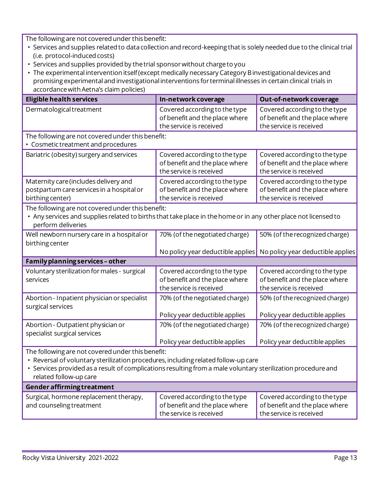- Services and supplies related to data collection and record-keeping that is solely needed due to the clinical trial (i.e. protocol-induced costs)
- Services and supplies provided by the trial sponsor without charge to you
- The experimental intervention itself (except medically necessary Category Binvestigational devices and promising experimental and investigational interventions for terminal illnesses in certain clinical trials in accordancewith Aetna's claim policies)

| <b>Eligible health services</b>                                                                                                                                                                                                                                                   | In-network coverage                                                                        | Out-of-network coverage                                                                    |
|-----------------------------------------------------------------------------------------------------------------------------------------------------------------------------------------------------------------------------------------------------------------------------------|--------------------------------------------------------------------------------------------|--------------------------------------------------------------------------------------------|
| Dermatological treatment                                                                                                                                                                                                                                                          | Covered according to the type<br>of benefit and the place where<br>the service is received | Covered according to the type<br>of benefit and the place where<br>the service is received |
| The following are not covered under this benefit:<br>• Cosmetic treatment and procedures                                                                                                                                                                                          |                                                                                            |                                                                                            |
| Bariatric (obesity) surgery and services                                                                                                                                                                                                                                          | Covered according to the type<br>of benefit and the place where<br>the service is received | Covered according to the type<br>of benefit and the place where<br>the service is received |
| Maternity care (includes delivery and<br>postpartum care services in a hospital or<br>birthing center)                                                                                                                                                                            | Covered according to the type<br>of benefit and the place where<br>the service is received | Covered according to the type<br>of benefit and the place where<br>the service is received |
| The following are not covered under this benefit:<br>• Any services and supplies related to births that take place in the home or in any other place not licensed to<br>perform deliveries                                                                                        |                                                                                            |                                                                                            |
| Well newborn nursery care in a hospital or<br>birthing center                                                                                                                                                                                                                     | 70% (of the negotiated charge)<br>No policy year deductible applies                        | 50% (of the recognized charge)<br>No policy year deductible applies                        |
| Family planning services - other                                                                                                                                                                                                                                                  |                                                                                            |                                                                                            |
| Voluntary sterilization for males - surgical<br>services                                                                                                                                                                                                                          | Covered according to the type<br>of benefit and the place where<br>the service is received | Covered according to the type<br>of benefit and the place where<br>the service is received |
| Abortion - Inpatient physician or specialist<br>surgical services                                                                                                                                                                                                                 | 70% (of the negotiated charge)                                                             | 50% (of the recognized charge)                                                             |
|                                                                                                                                                                                                                                                                                   | Policy year deductible applies                                                             | Policy year deductible applies                                                             |
| Abortion - Outpatient physician or<br>specialist surgical services                                                                                                                                                                                                                | 70% (of the negotiated charge)                                                             | 70% (of the recognized charge)                                                             |
|                                                                                                                                                                                                                                                                                   | Policy year deductible applies                                                             | Policy year deductible applies                                                             |
| The following are not covered under this benefit:<br>• Reversal of voluntary sterilization procedures, including related follow-up care<br>• Services provided as a result of complications resulting from a male voluntary sterilization procedure and<br>related follow-up care |                                                                                            |                                                                                            |
| Gender affirming treatment                                                                                                                                                                                                                                                        |                                                                                            |                                                                                            |
| Surgical, hormone replacement therapy,<br>and counseling treatment                                                                                                                                                                                                                | Covered according to the type<br>of benefit and the place where<br>the service is received | Covered according to the type<br>of benefit and the place where<br>the service is received |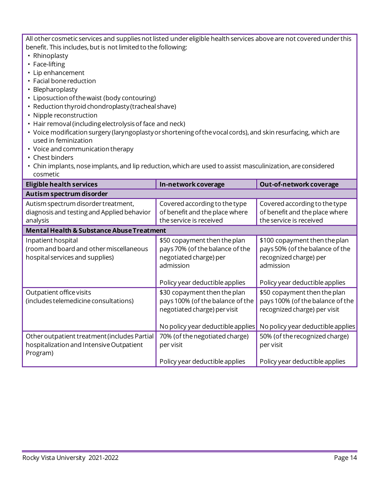All other cosmetic services and supplies not listed under eligible health services above are not covered under this benefit. This includes, but is not limited to the following:

- Rhinoplasty
- Face-lifting
- Lip enhancement
- Facial bone reduction
- Blepharoplasty
- Liposuction ofthe waist (body contouring)
- Reduction thyroid chondroplasty(tracheal shave)
- Nipple reconstruction
- Hair removal (including electrolysis of face and neck)
- Voice modification surgery (laryngoplastyor shortening of the vocal cords), and skin resurfacing, which are used in feminization
- Voice and communication therapy
- Chest binders
- Chin implants, nose implants, and lip reduction, which are used to assist masculinization, are considered cosmetic

| <b>Eligible health services</b>                                                                      | In-network coverage                                                                                    | Out-of-network coverage                                                                                 |
|------------------------------------------------------------------------------------------------------|--------------------------------------------------------------------------------------------------------|---------------------------------------------------------------------------------------------------------|
| Autism spectrum disorder                                                                             |                                                                                                        |                                                                                                         |
| Autism spectrum disorder treatment,<br>diagnosis and testing and Applied behavior<br>analysis        | Covered according to the type<br>of benefit and the place where<br>the service is received             | Covered according to the type<br>of benefit and the place where<br>the service is received              |
| <b>Mental Health &amp; Substance Abuse Treatment</b>                                                 |                                                                                                        |                                                                                                         |
| Inpatient hospital<br>(room and board and other miscellaneous<br>hospital services and supplies)     | \$50 copayment then the plan<br>pays 70% (of the balance of the<br>negotiated charge) per<br>admission | \$100 copayment then the plan<br>pays 50% (of the balance of the<br>recognized charge) per<br>admission |
|                                                                                                      | Policy year deductible applies                                                                         | Policy year deductible applies                                                                          |
| Outpatient office visits<br>(includes telemedicine consultations)                                    | \$30 copayment then the plan<br>pays 100% (of the balance of the<br>negotiated charge) per visit       | \$50 copayment then the plan<br>pays 100% (of the balance of the<br>recognized charge) per visit        |
|                                                                                                      | No policy year deductible applies                                                                      | No policy year deductible applies                                                                       |
| Other outpatient treatment (includes Partial<br>hospitalization and Intensive Outpatient<br>Program) | 70% (of the negotiated charge)<br>per visit                                                            | 50% (of the recognized charge)<br>per visit                                                             |
|                                                                                                      | Policy year deductible applies                                                                         | Policy year deductible applies                                                                          |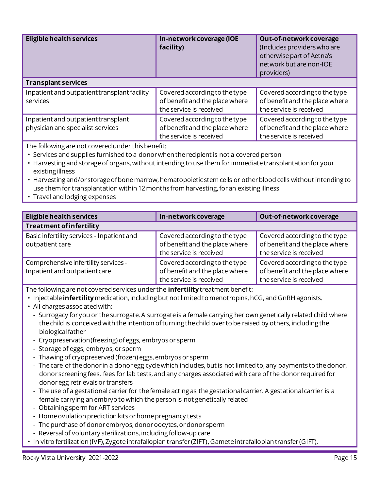| <b>Eligible health services</b>                                          | In-network coverage (IOE<br>facility)                                                      | Out-of-network coverage<br>(Includes providers who are<br>otherwise part of Aetna's<br>network but are non-IOE<br>providers) |
|--------------------------------------------------------------------------|--------------------------------------------------------------------------------------------|------------------------------------------------------------------------------------------------------------------------------|
| <b>Transplant services</b>                                               |                                                                                            |                                                                                                                              |
| Inpatient and outpatient transplant facility<br>services                 | Covered according to the type<br>of benefit and the place where<br>the service is received | Covered according to the type<br>of benefit and the place where<br>the service is received                                   |
| Inpatient and outpatient transplant<br>physician and specialist services | Covered according to the type<br>of benefit and the place where<br>the service is received | Covered according to the type<br>of benefit and the place where<br>the service is received                                   |

The following are not covered under this benefit:

- Services and supplies furnished to a donor when the recipient is not a covered person
- Harvesting and storage of organs, without intending to use them for immediate transplantation for your existing illness
- Harvesting and/or storage of bone marrow, hematopoietic stem cells or other blood cells without intending to use them for transplantation within 12 months from harvesting, for an existing illness
- Travel and lodging expenses

| <b>Eligible health services</b>                                       | In-network coverage                                                                        | Out-of-network coverage                                                                    |
|-----------------------------------------------------------------------|--------------------------------------------------------------------------------------------|--------------------------------------------------------------------------------------------|
| <b>Treatment of infertility</b>                                       |                                                                                            |                                                                                            |
| Basic infertility services - Inpatient and<br>outpatient care         | Covered according to the type<br>of benefit and the place where<br>the service is received | Covered according to the type<br>of benefit and the place where<br>the service is received |
| Comprehensive infertility services -<br>Inpatient and outpatient care | Covered according to the type<br>of benefit and the place where<br>the service is received | Covered according to the type<br>of benefit and the place where<br>the service is received |

The following are not covered services under the **infertility** treatment benefit:

- Injectable **infertility** medication, including but not limited to menotropins, hCG, and GnRH agonists.
- All charges associated with:
	- Surrogacy for you or the surrogate. A surrogate is a female carrying her own genetically related child where the child is conceived with the intention of turning the child over to be raised by others, including the biological father
	- Cryopreservation(freezing) ofeggs, embryos or sperm
	- Storage of eggs, embryos, or sperm
	- Thawing of cryopreserved (frozen) eggs, embryos or sperm
	- The care of the donor in a donor egg cycle which includes, but is not limited to, any payments to the donor, donor screening fees, fees for lab tests, and any charges associated with care of the donor required for donor egg retrievals or transfers
	- The use of a gestational carrier for the female acting as the gestational carrier. A gestational carrier is a female carrying an embryo to which the person is not genetically related
	- Obtaining sperm for ART services
	- Home ovulation prediction kits or home pregnancy tests
	- The purchase of donor embryos, donor oocytes, or donor sperm
	- Reversal of voluntary sterilizations, including follow-up care
- In vitro fertilization (IVF), Zygote intrafallopian transfer (ZIFT), Gamete intrafallopian transfer (GIFT),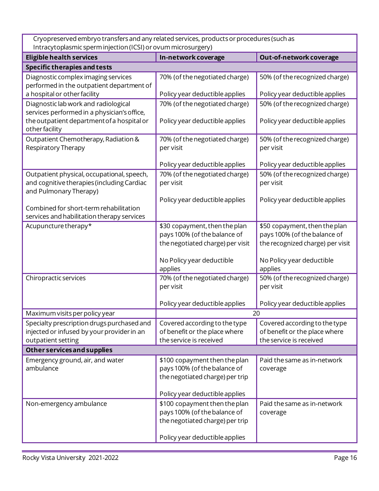$\mathbf{I}$  $\ddot{\cdot}$ Cryopreserved embryo transfers and any related services, products or procedures (such as Intracytoplasmic sperm injection (ICSI) or ovum microsurgery)

| maaytopiasmic spermingection (resi) or ovanninierosargery)                                                                        |                                                                                                                                    |                                                                                           |
|-----------------------------------------------------------------------------------------------------------------------------------|------------------------------------------------------------------------------------------------------------------------------------|-------------------------------------------------------------------------------------------|
| <b>Eligible health services</b>                                                                                                   | In-network coverage                                                                                                                | Out-of-network coverage                                                                   |
| <b>Specific therapies and tests</b>                                                                                               |                                                                                                                                    |                                                                                           |
| Diagnostic complex imaging services<br>performed in the outpatient department of                                                  | 70% (of the negotiated charge)                                                                                                     | 50% (of the recognized charge)                                                            |
| a hospital or other facility                                                                                                      | Policy year deductible applies                                                                                                     | Policy year deductible applies                                                            |
| Diagnostic lab work and radiological<br>services performed in a physician's office,<br>the outpatient department of a hospital or | 70% (of the negotiated charge)<br>Policy year deductible applies                                                                   | 50% (of the recognized charge)<br>Policy year deductible applies                          |
| other facility                                                                                                                    |                                                                                                                                    |                                                                                           |
| Outpatient Chemotherapy, Radiation &<br>Respiratory Therapy                                                                       | 70% (of the negotiated charge)<br>per visit                                                                                        | 50% (of the recognized charge)<br>per visit                                               |
|                                                                                                                                   | Policy year deductible applies                                                                                                     | Policy year deductible applies                                                            |
| Outpatient physical, occupational, speech,<br>and cognitive therapies (including Cardiac<br>and Pulmonary Therapy)                | 70% (of the negotiated charge)<br>per visit                                                                                        | 50% (of the recognized charge)<br>per visit                                               |
| Combined for short-term rehabilitation<br>services and habilitation therapy services                                              | Policy year deductible applies                                                                                                     | Policy year deductible applies                                                            |
| Acupuncture therapy*                                                                                                              | \$30 copayment, then the plan                                                                                                      | \$50 copayment, then the plan                                                             |
|                                                                                                                                   | pays 100% (of the balance of<br>the negotiated charge) per visit                                                                   | pays 100% (of the balance of<br>the recognized charge) per visit                          |
|                                                                                                                                   | No Policy year deductible<br>applies                                                                                               | No Policy year deductible<br>applies                                                      |
| Chiropractic services                                                                                                             | 70% (of the negotiated charge)<br>per visit                                                                                        | 50% (of the recognized charge)<br>per visit                                               |
|                                                                                                                                   | Policy year deductible applies                                                                                                     | Policy year deductible applies                                                            |
| Maximum visits per policy year                                                                                                    | 20                                                                                                                                 |                                                                                           |
| Specialty prescription drugs purchased and<br>injected or infused by your provider in an<br>outpatient setting                    | Covered according to the type<br>of benefit or the place where<br>the service is received                                          | Covered according to the type<br>of benefit or the place where<br>the service is received |
| Other services and supplies                                                                                                       |                                                                                                                                    |                                                                                           |
| Emergency ground, air, and water<br>ambulance                                                                                     | \$100 copayment then the plan<br>pays 100% (of the balance of<br>the negotiated charge) per trip<br>Policy year deductible applies | Paid the same as in-network<br>coverage                                                   |
| Non-emergency ambulance                                                                                                           | \$100 copayment then the plan<br>pays 100% (of the balance of<br>the negotiated charge) per trip<br>Policy year deductible applies | Paid the same as in-network<br>coverage                                                   |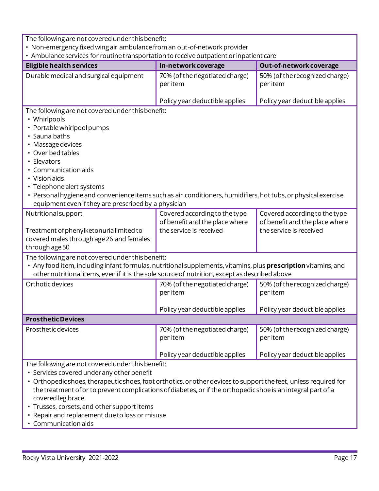| me rollowing are not cover ca anach this benefit.<br>• Non-emergency fixed wing air ambulance from an out-of-network provider                                                                                                                                                                                                                                                                                           |                                                                                            |                                                                                            |
|-------------------------------------------------------------------------------------------------------------------------------------------------------------------------------------------------------------------------------------------------------------------------------------------------------------------------------------------------------------------------------------------------------------------------|--------------------------------------------------------------------------------------------|--------------------------------------------------------------------------------------------|
| • Ambulance services for routine transportation to receive outpatient or inpatient care                                                                                                                                                                                                                                                                                                                                 |                                                                                            |                                                                                            |
| <b>Eligible health services</b>                                                                                                                                                                                                                                                                                                                                                                                         | In-network coverage                                                                        | Out-of-network coverage                                                                    |
| Durable medical and surgical equipment                                                                                                                                                                                                                                                                                                                                                                                  | 70% (of the negotiated charge)<br>per item                                                 | 50% (of the recognized charge)<br>per item                                                 |
|                                                                                                                                                                                                                                                                                                                                                                                                                         | Policy year deductible applies                                                             | Policy year deductible applies                                                             |
| The following are not covered under this benefit:<br>• Whirlpools<br>• Portable whirlpool pumps<br>• Sauna baths<br>• Massage devices<br>• Over bed tables<br>• Elevators<br>Communication aids<br>• Vision aids<br>• Telephone alert systems<br>• Personal hygiene and convenience items such as air conditioners, humidifiers, hot tubs, or physical exercise<br>equipment even if they are prescribed by a physician |                                                                                            |                                                                                            |
| Nutritional support<br>Treatment of phenylketonuria limited to                                                                                                                                                                                                                                                                                                                                                          | Covered according to the type<br>of benefit and the place where<br>the service is received | Covered according to the type<br>of benefit and the place where<br>the service is received |
| covered males through age 26 and females<br>through age 50                                                                                                                                                                                                                                                                                                                                                              |                                                                                            |                                                                                            |
| The following are not covered under this benefit:<br>• Any food item, including infant formulas, nutritional supplements, vitamins, plus prescription vitamins, and<br>other nutritional items, even if it is the sole source of nutrition, except as described above                                                                                                                                                   |                                                                                            |                                                                                            |
| Orthotic devices                                                                                                                                                                                                                                                                                                                                                                                                        | 70% (of the negotiated charge)<br>per item                                                 | 50% (of the recognized charge)<br>per item                                                 |
|                                                                                                                                                                                                                                                                                                                                                                                                                         | Policy year deductible applies                                                             | Policy year deductible applies                                                             |
| <b>Prosthetic Devices</b>                                                                                                                                                                                                                                                                                                                                                                                               |                                                                                            |                                                                                            |
| Prosthetic devices                                                                                                                                                                                                                                                                                                                                                                                                      | 70% (of the negotiated charge)<br>per item                                                 | 50% (of the recognized charge)<br>per item                                                 |
|                                                                                                                                                                                                                                                                                                                                                                                                                         | Policy year deductible applies                                                             | Policy year deductible applies                                                             |
| The following are not covered under this benefit:<br>• Services covered under any other benefit<br>• Orthopedic shoes, therapeutic shoes, foot orthotics, or other devices to support the feet, unless required for<br>the treatment of or to prevent complications of diabetes, or if the orthopedic shoe is an integral part of a<br>covered leg brace                                                                |                                                                                            |                                                                                            |

- Trusses, corsets, and other support items
- Repair and replacement due to loss or misuse
- Communication aids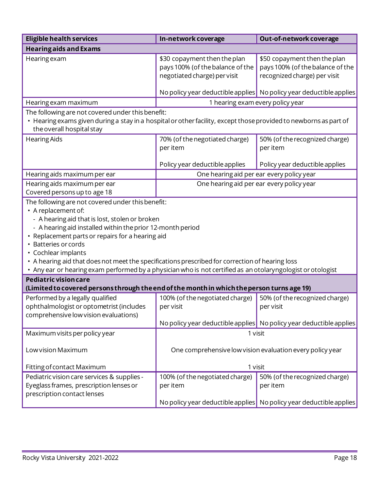| <b>Eligible health services</b>                                                                                                                                                                                                                                                                                                                                                                                                                                                                               | In-network coverage                                                                              | Out-of-network coverage                                                                                            |
|---------------------------------------------------------------------------------------------------------------------------------------------------------------------------------------------------------------------------------------------------------------------------------------------------------------------------------------------------------------------------------------------------------------------------------------------------------------------------------------------------------------|--------------------------------------------------------------------------------------------------|--------------------------------------------------------------------------------------------------------------------|
| <b>Hearing aids and Exams</b>                                                                                                                                                                                                                                                                                                                                                                                                                                                                                 |                                                                                                  |                                                                                                                    |
| Hearing exam                                                                                                                                                                                                                                                                                                                                                                                                                                                                                                  | \$30 copayment then the plan<br>pays 100% (of the balance of the<br>negotiated charge) per visit | \$50 copayment then the plan<br>pays 100% (of the balance of the<br>recognized charge) per visit                   |
|                                                                                                                                                                                                                                                                                                                                                                                                                                                                                                               |                                                                                                  | No policy year deductible applies No policy year deductible applies                                                |
| Hearing exam maximum                                                                                                                                                                                                                                                                                                                                                                                                                                                                                          | 1 hearing exam every policy year                                                                 |                                                                                                                    |
| The following are not covered under this benefit:<br>• Hearing exams given during a stay in a hospital or other facility, except those provided to newborns as part of<br>the overall hospital stay                                                                                                                                                                                                                                                                                                           |                                                                                                  |                                                                                                                    |
| <b>Hearing Aids</b>                                                                                                                                                                                                                                                                                                                                                                                                                                                                                           | 70% (of the negotiated charge)<br>per item                                                       | 50% (of the recognized charge)<br>per item                                                                         |
|                                                                                                                                                                                                                                                                                                                                                                                                                                                                                                               | Policy year deductible applies                                                                   | Policy year deductible applies                                                                                     |
| Hearing aids maximum per ear                                                                                                                                                                                                                                                                                                                                                                                                                                                                                  | One hearing aid per ear every policy year                                                        |                                                                                                                    |
| Hearing aids maximum per ear<br>Covered persons up to age 18                                                                                                                                                                                                                                                                                                                                                                                                                                                  | One hearing aid per ear every policy year                                                        |                                                                                                                    |
| The following are not covered under this benefit:<br>• A replacement of:<br>- A hearing aid that is lost, stolen or broken<br>- A hearing aid installed within the prior 12-month period<br>• Replacement parts or repairs for a hearing aid<br>• Batteries or cords<br>• Cochlear implants<br>• A hearing aid that does not meet the specifications prescribed for correction of hearing loss<br>• Any ear or hearing exam performed by a physician who is not certified as an otolaryngologist or otologist |                                                                                                  |                                                                                                                    |
| <b>Pediatric vision care</b><br>(Limited to covered persons through the end of the month in which the person turns age 19)                                                                                                                                                                                                                                                                                                                                                                                    |                                                                                                  |                                                                                                                    |
| Performed by a legally qualified<br>ophthalmologist or optometrist (includes<br>comprehensive low vision evaluations)                                                                                                                                                                                                                                                                                                                                                                                         | 100% (of the negotiated charge)<br>per visit                                                     | 50% (of the recognized charge)<br>per visit<br>No policy year deductible applies No policy year deductible applies |
| Maximum visits per policy year                                                                                                                                                                                                                                                                                                                                                                                                                                                                                | 1 visit                                                                                          |                                                                                                                    |
| Low vision Maximum                                                                                                                                                                                                                                                                                                                                                                                                                                                                                            | One comprehensive low vision evaluation every policy year                                        |                                                                                                                    |
| Fitting of contact Maximum                                                                                                                                                                                                                                                                                                                                                                                                                                                                                    | 1 visit                                                                                          |                                                                                                                    |
| Pediatric vision care services & supplies -<br>Eyeglass frames, prescription lenses or<br>prescription contact lenses                                                                                                                                                                                                                                                                                                                                                                                         | 100% (of the negotiated charge)<br>per item<br>No policy year deductible applies                 | 50% (of the recognized charge)<br>per item<br>No policy year deductible applies                                    |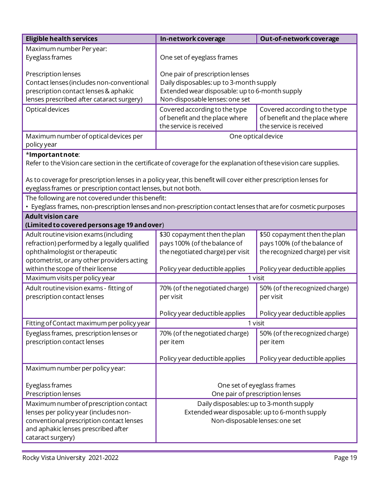| <b>Eligible health services</b>                                                                                                                                                                                                                                                                                           | In-network coverage                                                                                                                                            | Out-of-network coverage                                                                          |
|---------------------------------------------------------------------------------------------------------------------------------------------------------------------------------------------------------------------------------------------------------------------------------------------------------------------------|----------------------------------------------------------------------------------------------------------------------------------------------------------------|--------------------------------------------------------------------------------------------------|
| Maximum number Per year:<br>Eyeglass frames                                                                                                                                                                                                                                                                               | One set of eyeglass frames                                                                                                                                     |                                                                                                  |
| Prescription lenses<br>Contact lenses (includes non-conventional<br>prescription contact lenses & aphakic<br>lenses prescribed after cataract surgery)                                                                                                                                                                    | One pair of prescription lenses<br>Daily disposables: up to 3-month supply<br>Extended wear disposable: up to 6-month supply<br>Non-disposable lenses: one set |                                                                                                  |
| Optical devices                                                                                                                                                                                                                                                                                                           | Covered according to the type<br>of benefit and the place where<br>the service is received                                                                     | Covered according to the type<br>of benefit and the place where<br>the service is received       |
| Maximum number of optical devices per<br>policy year                                                                                                                                                                                                                                                                      | One optical device                                                                                                                                             |                                                                                                  |
| *Importantnote:<br>Refer to the Vision care section in the certificate of coverage for the explanation of these vision care supplies.<br>As to coverage for prescription lenses in a policy year, this benefit will cover either prescription lenses for<br>eyeglass frames or prescription contact lenses, but not both. |                                                                                                                                                                |                                                                                                  |
| The following are not covered under this benefit:<br>• Eyeglass frames, non-prescription lenses and non-prescription contact lenses that are for cosmetic purposes                                                                                                                                                        |                                                                                                                                                                |                                                                                                  |
| <b>Adult vision care</b><br>(Limited to covered persons age 19 and over)                                                                                                                                                                                                                                                  |                                                                                                                                                                |                                                                                                  |
| Adult routine vision exams (including<br>refraction) performed by a legally qualified<br>ophthalmologist or therapeutic<br>optometrist, or any other providers acting                                                                                                                                                     | \$30 copayment then the plan<br>pays 100% (of the balance of<br>the negotiated charge) per visit                                                               | \$50 copayment then the plan<br>pays 100% (of the balance of<br>the recognized charge) per visit |
| within the scope of their license                                                                                                                                                                                                                                                                                         | Policy year deductible applies                                                                                                                                 | Policy year deductible applies                                                                   |
| Maximum visits per policy year                                                                                                                                                                                                                                                                                            | 1 visit                                                                                                                                                        |                                                                                                  |
| Adult routine vision exams - fitting of<br>prescription contact lenses                                                                                                                                                                                                                                                    | 70% (of the negotiated charge)<br>per visit                                                                                                                    | 50% (of the recognized charge)<br>per visit                                                      |
|                                                                                                                                                                                                                                                                                                                           | Policy year deductible applies                                                                                                                                 | Policy year deductible applies                                                                   |
| Fitting of Contact maximum per policy year                                                                                                                                                                                                                                                                                | 1 visit                                                                                                                                                        |                                                                                                  |
| Eyeglass frames, prescription lenses or<br>prescription contact lenses                                                                                                                                                                                                                                                    | 70% (of the negotiated charge)<br>per item                                                                                                                     | 50% (of the recognized charge)<br>per item                                                       |
|                                                                                                                                                                                                                                                                                                                           | Policy year deductible applies                                                                                                                                 | Policy year deductible applies                                                                   |
| Maximum number per policy year:                                                                                                                                                                                                                                                                                           |                                                                                                                                                                |                                                                                                  |
| Eyeglass frames<br>Prescription lenses                                                                                                                                                                                                                                                                                    | One set of eyeglass frames<br>One pair of prescription lenses                                                                                                  |                                                                                                  |
| Maximum number of prescription contact<br>lenses per policy year (includes non-<br>conventional prescription contact lenses<br>and aphakic lenses prescribed after<br>cataract surgery)                                                                                                                                   | Daily disposables: up to 3-month supply<br>Extended wear disposable: up to 6-month supply<br>Non-disposable lenses: one set                                    |                                                                                                  |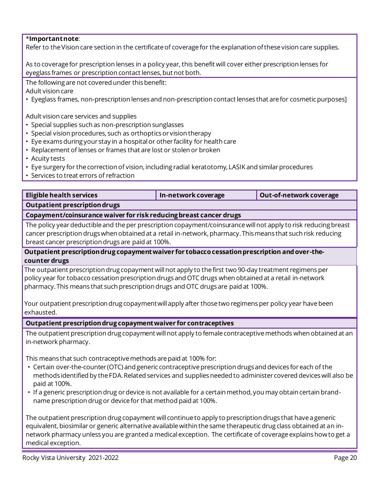#### \***Importantnote**:

Refer to the Vision care section in the certificate of coverage for the explanation of these vision care supplies.

As to coveragefor prescription lenses in a policy year, this benefit will cover either prescription lenses for eyeglass frames or prescription contact lenses, but not both.

The following are not covered under this benefit: Adult vision care

• Eyeglass frames, non-prescription lenses and non-prescription contact lenses that are for cosmetic purposes]

Adult vision care services and supplies

- Special supplies such as non-prescription sunglasses
- Special vision procedures, such as orthoptics or vision therapy
- Eye exams during your stay in a hospital or other facility for health care
- Replacement of lenses or frames that are lost or stolen or broken
- Acuity tests
- Eye surgery for the correction of vision, including radial keratotomy, LASIK and similar procedures
- Services to treat errors of refraction

| Eligible health services                                           | In-network coverage | Out-of-network coverage |
|--------------------------------------------------------------------|---------------------|-------------------------|
| Outpatient prescription drugs                                      |                     |                         |
| Copayment/coinsurance waiver for risk reducing breast cancer drugs |                     |                         |

 The policy year deductible and the per prescription copayment/coinsurance will not apply to risk reducing breast cancer prescription drugs when obtained at a retail in-network, pharmacy. This means that such risk reducing breast cancer prescription drugs are paid at 100%.

#### **Outpatient prescriptiondrug copaymentwaiver for tobacco cessationprescription and over-thecounter drugs**

 The outpatient prescription drug copayment will not apply to the first two 90-day treatment regimens per policy year for tobacco cessation prescription drugs and OTC drugs when obtained at a retail in-network pharmacy. This means that such prescription drugs and OTC drugs are paid at 100%.

Your outpatient prescription drug copaymentwill apply after those two regimens per policy year have been exhausted.

#### **Outpatient prescriptiondrug copaymentwaiver for contraceptives**

The outpatient prescription drug copayment will not apply to female contraceptive methods when obtained at an in-network pharmacy.

This means that such contraceptive methods are paid at 100% for:

- Certain over-the-counter (OTC) and generic contraceptive prescription drugs and devices for each of the methods identified by the FDA. Related services and supplies needed to administer covered devices will also be paid at 100%.
- If a generic prescription drug or device is not available for a certain method, you may obtain certain brandname prescription drug or device for that method paid at 100%.

The outpatient prescription drug copayment will continue to apply to prescription drugs that have a generic equivalent, biosimilar or generic alternative available within the same therapeutic drug class obtained at an innetwork pharmacy unless you are granted a medical exception. The certificate of coverage explains how to get a medical exception.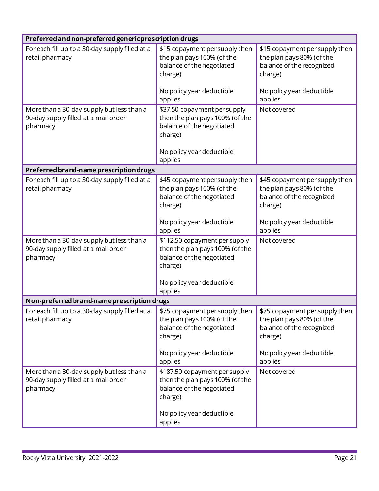| Preferred and non-preferred generic prescription drugs                                        |                                                                                                                                                                                |                                                                                                     |
|-----------------------------------------------------------------------------------------------|--------------------------------------------------------------------------------------------------------------------------------------------------------------------------------|-----------------------------------------------------------------------------------------------------|
| For each fill up to a 30-day supply filled at a<br>retail pharmacy                            | \$15 copayment per supply then<br>the plan pays 100% (of the<br>balance of the negotiated<br>charge)                                                                           | \$15 copayment per supply then<br>the plan pays 80% (of the<br>balance of the recognized<br>charge) |
|                                                                                               | No policy year deductible<br>applies                                                                                                                                           | No policy year deductible<br>applies                                                                |
| More than a 30-day supply but less than a<br>90-day supply filled at a mail order<br>pharmacy | \$37.50 copayment per supply<br>then the plan pays 100% (of the<br>balance of the negotiated<br>charge)<br>No policy year deductible                                           | Not covered                                                                                         |
| Preferred brand-name prescription drugs                                                       | applies                                                                                                                                                                        |                                                                                                     |
| For each fill up to a 30-day supply filled at a<br>retail pharmacy                            | \$45 copayment per supply then<br>the plan pays 100% (of the<br>balance of the negotiated<br>charge)                                                                           | \$45 copayment per supply then<br>the plan pays 80% (of the<br>balance of the recognized<br>charge) |
|                                                                                               | No policy year deductible<br>applies                                                                                                                                           | No policy year deductible<br>applies                                                                |
| More than a 30-day supply but less than a<br>90-day supply filled at a mail order<br>pharmacy | \$112.50 copayment per supply<br>then the plan pays 100% (of the<br>balance of the negotiated<br>charge)                                                                       | Not covered                                                                                         |
|                                                                                               | No policy year deductible<br>applies                                                                                                                                           |                                                                                                     |
| Non-preferred brand-name prescription drugs                                                   |                                                                                                                                                                                |                                                                                                     |
| For each fill up to a 30-day supply filled at a $\parallel$<br>retail pharmacy                | \$75 copayment per supply then $\frac{1}{2}$ \$75 copayment per supply then<br>the plan pays 100% (of the<br>balance of the negotiated<br>charge)<br>No policy year deductible | the plan pays 80% (of the<br>balance of the recognized<br>charge)<br>No policy year deductible      |
|                                                                                               | applies                                                                                                                                                                        | applies                                                                                             |
| More than a 30-day supply but less than a<br>90-day supply filled at a mail order<br>pharmacy | \$187.50 copayment per supply<br>then the plan pays 100% (of the<br>balance of the negotiated<br>charge)                                                                       | Not covered                                                                                         |
|                                                                                               | No policy year deductible<br>applies                                                                                                                                           |                                                                                                     |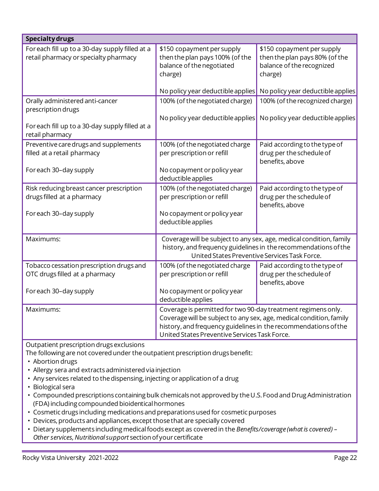| <b>Specialty drugs</b>                                                                   |                                                                                                                                                                                                                                                          |                                                                                                      |
|------------------------------------------------------------------------------------------|----------------------------------------------------------------------------------------------------------------------------------------------------------------------------------------------------------------------------------------------------------|------------------------------------------------------------------------------------------------------|
| For each fill up to a 30-day supply filled at a<br>retail pharmacy or specialty pharmacy | \$150 copayment per supply<br>then the plan pays 100% (of the<br>balance of the negotiated<br>charge)                                                                                                                                                    | \$150 copayment per supply<br>then the plan pays 80% (of the<br>balance of the recognized<br>charge) |
|                                                                                          | No policy year deductible applies                                                                                                                                                                                                                        | No policy year deductible applies                                                                    |
| Orally administered anti-cancer<br>prescription drugs                                    | 100% (of the negotiated charge)                                                                                                                                                                                                                          | 100% (of the recognized charge)                                                                      |
| For each fill up to a 30-day supply filled at a<br>retail pharmacy                       | No policy year deductible applies                                                                                                                                                                                                                        | No policy year deductible applies                                                                    |
| Preventive care drugs and supplements<br>filled at a retail pharmacy                     | 100% (of the negotiated charge<br>per prescription or refill                                                                                                                                                                                             | Paid according to the type of<br>drug per the schedule of<br>benefits, above                         |
| For each 30-day supply                                                                   | No copayment or policy year<br>deductible applies                                                                                                                                                                                                        |                                                                                                      |
| Risk reducing breast cancer prescription<br>drugs filled at a pharmacy                   | 100% (of the negotiated charge)<br>per prescription or refill                                                                                                                                                                                            | Paid according to the type of<br>drug per the schedule of<br>benefits, above                         |
| For each 30-day supply                                                                   | No copayment or policy year<br>deductible applies                                                                                                                                                                                                        |                                                                                                      |
| Maximums:                                                                                | Coverage will be subject to any sex, age, medical condition, family<br>history, and frequency guidelines in the recommendations of the<br>United States Preventive Services Task Force.                                                                  |                                                                                                      |
| Tobacco cessation prescription drugs and<br>OTC drugs filled at a pharmacy               | 100% (of the negotiated charge<br>per prescription or refill                                                                                                                                                                                             | Paid according to the type of<br>drug per the schedule of<br>benefits, above                         |
| For each 30-day supply                                                                   | No copayment or policy year<br>deductible applies                                                                                                                                                                                                        |                                                                                                      |
| Maximums:                                                                                | Coverage is permitted for two 90-day treatment regimens only.<br>Coverage will be subject to any sex, age, medical condition, family<br>history, and frequency guidelines in the recommendations of the<br>United States Preventive Services Task Force. |                                                                                                      |
| Outpatient prescription drugs exclusions                                                 |                                                                                                                                                                                                                                                          |                                                                                                      |

The following are not covered under the outpatient prescription drugs benefit:

- Abortion drugs
- Allergy sera and extracts administered via injection
- Any services related to the dispensing, injecting or application of a drug
- Biological sera
- Compounded prescriptions containing bulk chemicals not approved by the U.S.Food and Drug Administration (FDA) including compounded bioidentical hormones
- Cosmetic drugs including medications and preparations used for cosmetic purposes
- Devices, products and appliances, except those that are specially covered
- Dietary supplements includingmedicalfoods except as covered in the *Benefits/coverage (what is covered) – Other services, Nutritional support* section of your certificate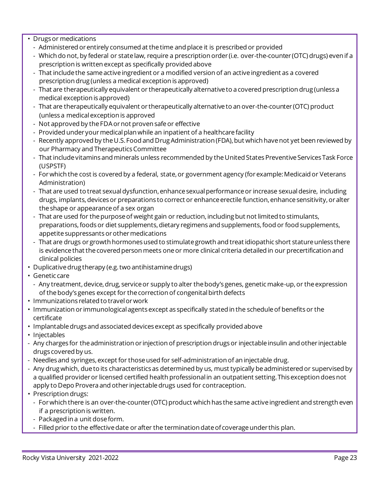• Drugs or medications

- Administered orentirely consumed at thetime and place it is prescribed or provided
- Which do not,by federal or statelaw, require a prescription order (i.e. over-the-counter (OTC) drugs) even if a prescription is written except as specifically provided above
- That include the same active ingredient or a modified version of an active ingredient as a covered prescription drug (unless a medical exception is approved)
- That are therapeutically equivalent or therapeutically alternativeto acovered prescription drug (unlessa medical exception is approved)
- That are therapeutically equivalent or therapeutically alternativeto an over-the-counter (OTC) product (unless a medical exception is approved
- Not approved by theFDAornot proven safeor effective
- Provided under your medical plan while an inpatient of a healthcare facility
- Recently approved by the U.S. Food and Drug Administration (FDA), but which have not yet been reviewed by our Pharmacy and Therapeutics Committee
- That include vitamins and minerals unless recommended by the United States Preventive Services Task Force (USPSTF)
- For which the cost is covered by a federal, state, or government agency (for example: Medicaid or Veterans Administration)
- That are used to treat sexual dysfunction, enhance sexual performance or increase sexual desire, including drugs, implants, devices or preparations to correct or enhance erectile function, enhance sensitivity, or alter the shape or appearance of a sex organ
- That are used for the purpose of weight gain or reduction, including but not limited to stimulants, preparations, foods or diet supplements, dietary regimens and supplements, food or food supplements, appetite suppressants or other medications
- That are drugs or growth hormones used to stimulate growth and treat idiopathic short stature unless there is evidence that the covered person meets one or more clinical criteria detailed in our precertification and clinical policies
- Duplicative drug therapy (e.g.two antihistamine drugs)
- Genetic care
	- Any treatment, device, drug, service or supply to alter the body's genes, genetic make-up, or the expression of the body's genes except for the correction of congenital birth defects
- Immunizations related to travel orwork
- Immunization or immunologicalagentsexcept as specifically stated in the scheduleof benefitsor the certificate
- Implantable drugs and associated devices except as specifically provided above
- Injectables
- Any charges for the administration or injection of prescription drugs or injectable insulin and other injectable drugs covered by us.
- Needles and syringes, except for those used for self-administration of an injectable drug.
- Any drug which, due to its characteristics as determined by us, must typically be administered or supervised by a qualified provider or licensed certified health professional in an outpatient setting. This exception does not apply to Depo Provera and other injectable drugs used for contraception.
- Prescription drugs:
	- For which there is an over-the-counter (OTC) product which has the same active ingredient and strength even if a prescription is written.
	- Packaged in a unit doseform.
	- Filled prior to the effective date or after the termination date of coverage under this plan.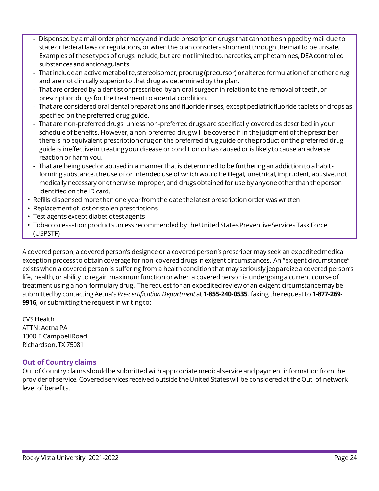- Dispensed by a mail order pharmacy and include prescription drugs that cannot be shipped by mail due to state or federal laws or regulations, or when the plan considers shipment through the mail to be unsafe. Examples of these types of drugs include, but are not limited to, narcotics, amphetamines, DEA controlled substances and anticoagulants.
- That include an active metabolite, stereoisomer, prodrug (precursor) or altered formulation of another drug and are not clinically superior to that drug as determined by the plan.
- That are ordered by a dentist or prescribed by an oral surgeon in relation to the removal of teeth, or prescription drugs for the treatment to a dental condition.
- That are considered oral dentalpreparations and fluoride rinses, except pediatric fluoride tabletsor drops as specified on the preferred drug guide.
- That are non-preferred drugs, unless non-preferred drugs are specifically covered as described in your schedule of benefits. However, a non-preferred drug will be covered if in the judgment of the prescriber there is no equivalent prescription drug on the preferred drug guide or the product on the preferred drug guide is ineffective in treating your disease or condition or has caused or is likely to cause an adverse reaction or harm you.
- That are being used or abused in a manner that is determined to be furthering an addiction to ahabitforming substance, the use of or intended use of which would be illegal, unethical, imprudent, abusive, not medically necessary or otherwise improper, and drugs obtained for use by anyone other than the person identified on the ID card.
- Refills dispensed morethan one year from the datethelatest prescription order was written
- Replacement of lost or stolen prescriptions
- Test agents except diabetic test agents
- Tobacco cessation products unless recommended by the United States Preventive Services Task Force (USPSTF)

 A covered person, a covered person's designeeor a covered person'sprescriber may seek an expedited medical exception process to obtain coverage for non-covered drugs in exigent circumstances. An "exigent circumstance" exists when a covered person is suffering from a health condition that may seriously jeopardizea covered person's life, health, or ability to regain maximum function or when a covered person is undergoing a current course of treatment using a non-formulary drug. The request for an expedited review ofan exigent circumstance may be submitted by contacting Aetna's *Pre-certification Department* at **1-855***-***240-0535**, faxing the request to **1-877-269 9916**, or submitting the request in writing to:

 ATTN: Aetna PA 1300 E Campbell Road Richardson, TX 75081 CVS Health

## **Out of Country claims**

 Out of Country claims should be submitted with appropriate medical service and payment information from the provider of service. Covered services received outside the United States will be considered at the Out-of-network level of benefits.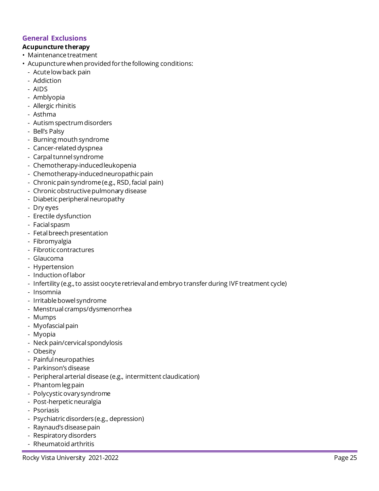## **General Exclusions**

#### **Acupuncture therapy**

- Maintenance treatment
- • Acupuncture when provided for the following conditions:
	- Acutelowback pain
	- Addiction
	- AIDS
	- Amblyopia
	- Allergic rhinitis
	- Asthma
	- Autism spectrum disorders
	- Bell's Palsy
	- Burning mouth syndrome
	- Cancer-related dyspnea
	- Carpaltunnel syndrome
	- Chemotherapy-inducedleukopenia
	- Chemotherapy-induced neuropathic pain
	- Chronic pain syndrome (e.g., RSD, facial pain)
	- Chronic obstructive pulmonary disease
	- Diabetic peripheral neuropathy
	- Dry eyes
	- Erectile dysfunction
	- Facial spasm
	- Fetal breech presentation
	- Fibromyalgia
	- Fibrotic contractures
	- Glaucoma
	- Hypertension
	- Induction oflabor
	- Infertility (e.g., to assist oocyte retrieval and embryo transfer during IVF treatment cycle)
	- Insomnia
	- Irritable bowel syndrome
	- Menstrual cramps/dysmenorrhea
	- Mumps
	- Myofascial pain
	- Myopia
	- Neck pain/cervical spondylosis
	- Obesity
	- Painful neuropathies
	- Parkinson'sdisease
	- Peripheralarterial disease (e.g., intermittent claudication)
	- Phantom leg pain
	- Polycysticovarysyndrome
	- Post-herpetic neuralgia
	- Psoriasis
	- Psychiatric disorders (e.g., depression)
	- Raynaud's disease pain
	- Respiratory disorders
	- Rheumatoid arthritis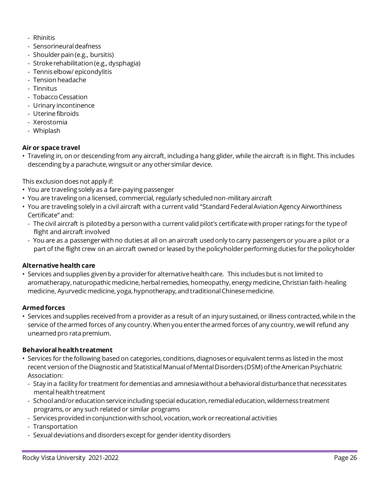- Rhinitis
- Sensorineural deafness
- Shoulder pain (e.g., bursitis)
- Strokerehabilitation (e.g.,dysphagia)
- Tennis elbow/ epicondylitis
- Tension headache
- Tinnitus
- Tobacco Cessation
- Urinary incontinence
- Uterine fibroids
- Xerostomia
- Whiplash

#### **Air or space travel**

 • Traveling in, on or descending from any aircraft, including a hang glider, while the aircraft is in flight. This includes descending by a parachute, wingsuit or any other similar device.

This exclusion does not apply if:

- You are traveling solely as a fare-paying passenger
- You are traveling on a licensed, commercial, regularly scheduled non-military aircraft
- • You are traveling solely in a civil aircraft with a current valid "Standard Federal Aviation Agency Airworthiness Certificate" and:
	- Thecivil aircraft is piloted by a person with a current valid pilot's certificatewith proper ratings for the typeof flight and aircraft involved
	- You are as a passengerwith no duties at all on an aircraft used only to carry passengersor you are a pilot or a part of the flight crew on an aircraft owned or leased by the policyholder performing duties for the policyholder

#### **Alternative health care**

 • Services and supplies given by a provider for alternative health care. This includes but is not limited to aromatherapy, naturopathic medicine, herbal remedies, homeopathy, energy medicine, Christian faith-healing medicine, Ayurvedic medicine, yoga, hypnotherapy, and traditional Chinese medicine.

#### **Armed forces**

 • Services and supplies received from a provider as a result of an injury sustained, or illness contracted, while in the service of the armed forces of any country.When you enter the armed forces of any country, we will refund any unearned pro rata premium.

#### **Behavioral healthtreatment**

- • Services for the following based on categories, conditions, diagnoses or equivalent terms as listed in the most recent version of the Diagnostic and Statistical Manual ofMental Disorders (DSM) ofthe American Psychiatric Association:
	- Stay in a facility for treatment for dementias and amnesia without a behavioral disturbance that necessitates mental health treatment
	- School and/or education service including special education, remedial education, wilderness treatment programs, or any such related or similar programs
	- Services provided in conjunction with school, vocation, work or recreational activities
	- Transportation
	- Sexual deviations and disorders except for gender identity disorders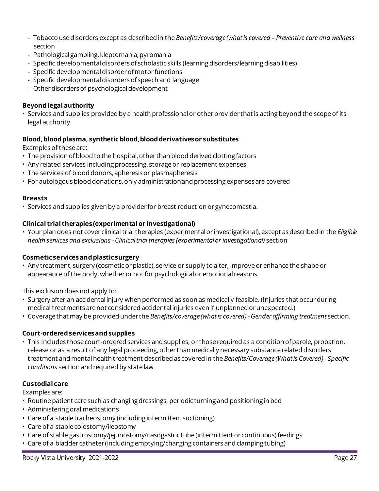- Tobacco usedisorders except as described in the *Benefits/coverage(what is covered – Preventive care and wellness*  section
- Pathological gambling, kleptomania, pyromania
- Specific developmental disorders of scholastic skills (learning disorders/learning disabilities)
- Specific developmental disorder of motor functions
- Specific developmental disorders of speech and language
- Other disorders of psychological development

#### **Beyond legal authority**

 • Services and supplies provided by a health professional or other provider that is acting beyond the scope of its legal authority

#### **Blood, blood plasma, synthetic blood,blood derivativesor substitutes**

Examples of these are:

- The provision of blood to the hospital, other than blood derived clotting factors
- Any related services including processing, storage or replacement expenses
- The services of blood donors, apheresis or plasmapheresis
- For autologous blood donations, only administrationand processing expenses are covered

#### **Breasts**

• Services and supplies given by a provider for breast reduction or gynecomastia.

#### **Clinical trial therapies(experimental or investigational)**

 • Your plan does not cover clinical trial therapies (experimental or investigational), except as described in the *Eligible health services and exclusions - Clinical trial therapies (experimental or investigational)* section

#### **Cosmeticservicesand plasticsurgery**

 • Any treatment, surgery (cosmetic or plastic), service or supply to alter, improve or enhance the shape or appearance of the body, whether or not for psychological or emotional reasons.

This exclusion does not apply to:

- • Surgery after an accidental injury when performed as soon as medically feasible. (Injuries that occur during medical treatments are not considered accidental injuries even if unplanned or unexpected.)
- • Coverage that may be provided under the *Benefits/coverage(what is covered) -Gender affirming treatment* section.

#### **Court-ordered servicesand supplies**

 • This Includes those court-ordered services and supplies, or those required as a condition ofparole, probation, release or as a result of any legal proceeding, other than medically necessary substance related disorders treatment and mental health treatment described as covered in the *Benefits/Coverage(What is Covered) - Specific conditions* section and required by state law

#### **Custodial care**

Examples are:

- Routine patient care such as changing dressings, periodic turning and positioning in bed
- Administering oral medications
- Care of a stable tracheostomy (including intermittent suctioning)
- Care of a stable colostomy/ileostomy
- Care of stable gastrostomy/jejunostomy/nasogastric tube (intermittent or continuous) feedings
- Care of a bladder catheter (including emptying/changing containers and clamping tubing)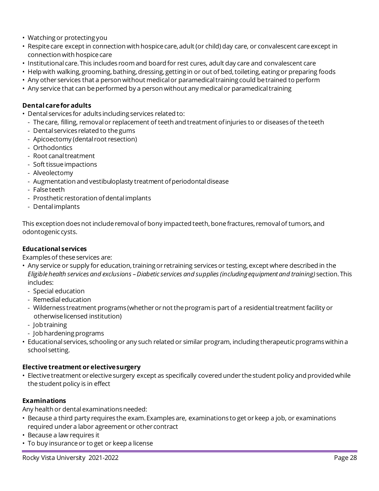- Watching or protecting you
- • Respite care except in connection with hospice care, adult (or child) day care, or convalescent care except in connection with hospice care
- Institutional care.This includes room and board for rest cures, adult day care and convalescent care
- • Help with walking, grooming, bathing, dressing, getting in or out of bed, toileting, eating or preparing foods
- Any other services that a person without medical or paramedical training could be trained to perform
- Any service that can be performed by a person without any medical or paramedical training

#### **Dental carefor adults**

- • Dental services for adults including services related to:
	- The care, filling, removal or replacement of teeth and treatment of injuries to or diseases of the teeth
	- Dental services related to thegums
	- Apicoectomy (dental root resection)
	- Orthodontics
	- Root canal treatment
	- Soft tissueimpactions
	- Alveolectomy
	- Augmentation and vestibuloplasty treatment of periodontal disease
	- Falseteeth
	- Prosthetic restoration ofdental implants
	- Dental implants

 This exception does not include removal of bony impacted teeth, bone fractures, removal of tumors, and odontogenic cysts.

#### **Educational services**

Examples of these services are:

- • Any service or supply for education, training or retraining services or testing, except where described in the  *Eligiblehealth services and exclusions –Diabetic services and supplies (includingequipment and training)* section.This includes:
	- Special education
	- Remedialeducation
	- Wilderness treatment programs (whetherornot theprogramis part of a residentialtreatment facility or otherwise licensed institution)
	- Job training
	- Job hardening programs
- • Educational services, schooling or any such related or similar program, including therapeutic programs within a school setting.

#### **Elective treatment or electivesurgery**

 • Elective treatment or elective surgery except as specifically covered under the student policy and provided while the student policy is in effect

## **Examinations**

Any health or dental examinations needed:

- • Because a third party requires the exam.Examples are, examinations to get or keep a job, or examinations required under a labor agreement or other contract
- Because a law requires it
- To buy insurance or to get or keep a license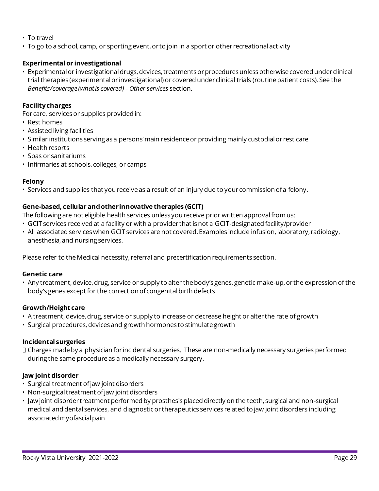- To travel
- To go to a school, camp, or sporting event, or to join in a sport or other recreational activity

#### **Experimental or investigational**

 • Experimental or investigational drugs, devices, treatments or procedures unless otherwise covered under clinical trial therapies (experimental or investigational) or covered under clinical trials (routine patient costs).See the  *Benefits/coverage(what is covered) –Other services* section.

## **Facilitycharges**

For care, services or supplies provided in:

- Rest homes
- Assisted living facilities
- Similar institutions serving as a persons'main residenceor providingmainly custodialor rest care
- Health resorts
- Spas or sanitariums
- Infirmaries at schools, colleges, or camps

#### **Felony**

• Services and supplies that you receive as a result of an injury due to your commission ofa felony.

#### **Gene-based, cellular and otherinnovative therapies (GCIT)**

The following are not eligible health services unless you receive prior written approval from us:

- • GCIT services received at a facility or with a provider that is not a GCIT-designated facility/provider
- All associated services when GCIT services are not covered. Examples include infusion, laboratory, radiology, anesthesia, and nursing services.

Please refer to the Medical necessity, referral and precertification requirements section.

#### **Genetic care**

 • Any treatment,device,drug, service or supply to alter thebody's genes, genetic make-up, or the expression of the body's genes except for the correction of congenital birth defects

#### **Growth/Height care**

- A treatment, device, drug, service or supply to increase or decrease height or alter the rate of growth
- Surgical procedures, devices and growth hormones to stimulate growth

#### **Incidental surgeries**

 Charges made by a physician for incidental surgeries. These are non-medically necessary surgeries performed during the same procedure as a medically necessary surgery.

#### **Jaw joint disorder**

- Surgical treatment of jaw joint disorders
- Non-surgical treatment of jaw joint disorders
- • Jaw joint disorder treatment performed by prosthesis placed directly on the teeth, surgical and non-surgical medical and dental services, and diagnostic or therapeutics services related to jaw joint disorders including associated myofascial pain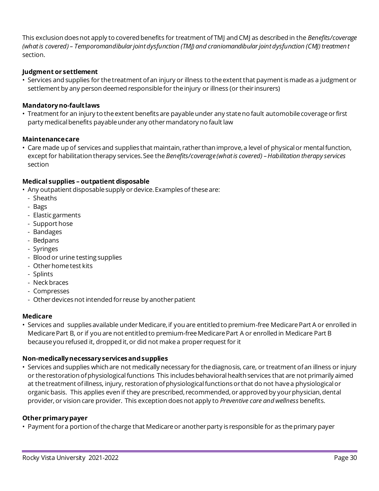This exclusion does not apply to covered benefits for treatment ofTMJ and CMJ as described in the *Benefits/coverage (what is covered) – Temporomandibular joint dysfunction (TMJ) and craniomandibular joint dysfunction (CMJ) treatment*  section.

#### **Judgment or settlement**

 • Services and supplies for the treatment ofan injury or illness to the extent that payment is made as a judgment or settlement by any person deemed responsible for the injury or illness (or their insurers)

#### **Mandatoryno-faultlaws**

 • Treatment for an injury to the extent benefits are payable under any state no fault automobile coverage or first party medical benefits payable under any other mandatory no fault law

#### **Maintenancecare**

 • Care made up of services and supplies that maintain, rather than improve, a level of physical or mental function, except for habilitation therapy services.See the *Benefits/coverage(what is covered) –Habilitation therapy services*  section

#### **Medical supplies – outpatient disposable**

- • Any outpatient disposable supply or device.Examples of these are:
	- Sheaths
	- Bags
	- Elastic garments
	- Support hose
	- Bandages
	- Bedpans
	- Syringes
	- Blood or urine testing supplies
	- Otherhometest kits
	- Splints
	- Neck braces
	- Compresses
	- Other devices not intended for reuse by another patient

#### **Medicare**

 • Services and supplies available under Medicare, if you are entitled to premium-free Medicare Part A or enrolled in Medicare Part B, or if you are not entitled to premium-free Medicare Part A or enrolled in Medicare Part B because you refused it, dropped it, or did not make a proper request for it

#### **Non-medicallynecessaryservicesand supplies**

 • Services and supplies which are not medically necessary for the diagnosis, care, or treatment ofan illness or injury or the restoration ofphysiological functions This includes behavioral health services that are not primarily aimed at the treatment ofillness, injury, restoration ofphysiological functions or that do not have a physiological or organic basis. This applies even if they are prescribed, recommended, or approved by your physician, dental provider, or vision care provider. This exception does not apply to *Preventive care and wellness* benefits.

#### **Other primary payer**

• Payment for a portion of the charge that Medicare or another party is responsible for as the primary payer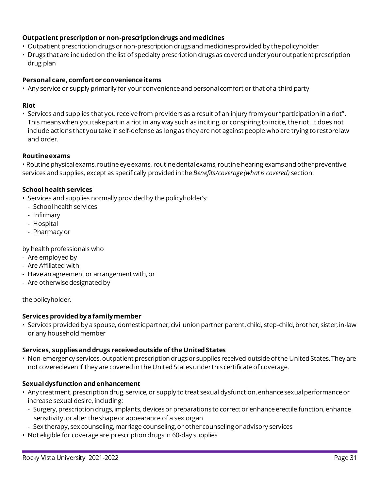## **Outpatient prescriptionor non-prescriptiondrugs and medicines**

- Outpatient prescription drugs or non-prescription drugs and medicines provided by the policyholder
- • Drugs that are included on the list of specialty prescription drugs as covered under your outpatient prescription drug plan

#### **Personal care, comfort or convenienceitems**

• Any service or supply primarily for your convenience and personal comfort or that ofa third party

#### **Riot**

 • Services and supplies that you receivefrom providersas a result of an injury fromyour "participation in a riot". This means when you take part in a riot in any way such as inciting, or conspiring to incite, the riot. It does not include actions that you take in self-defense as long as they are not against people who are trying to restore law and order.

#### **Routineexams**

• Routine physical exams, routine eye exams, routine dental exams, routine hearing exams and other preventive services and supplies, except as specifically provided in the *Benefits/coverage(what is covered)* section.

## **School health services**

• Services and supplies normally provided by the policyholder's:

- School health services
- Infirmary
- Hospital
- Pharmacy or

by health professionals who

- Are employed by
- Are Affiliated with
- Havean agreement or arrangement with,or
- Are otherwise designated by

the policyholder.

#### **Services provided bya familymember**

 • Services provided by a spouse, domestic partner, civil union partner parent, child, step-child, brother, sister, in-law or any household member

#### **Services, suppliesand drugs received outside of the United States**

 • Non-emergency services, outpatient prescription drugs or supplies received outside ofthe United States.They are not covered even if they are covered in the United States under this certificate of coverage.

## **Sexual dysfunction and enhancement**

- • Any treatment, prescription drug, service, or supply to treat sexual dysfunction, enhance sexual performance or increase sexual desire, including:
	- Surgery, prescription drugs, implants, devices or preparations to correct or enhance erectile function, enhance sensitivity, or alter the shape or appearance of a sex organ
	- Sex therapy, sex counseling, marriage counseling, or other counseling or advisory services
- Not eligible for coverage are prescription drugs in 60-day supplies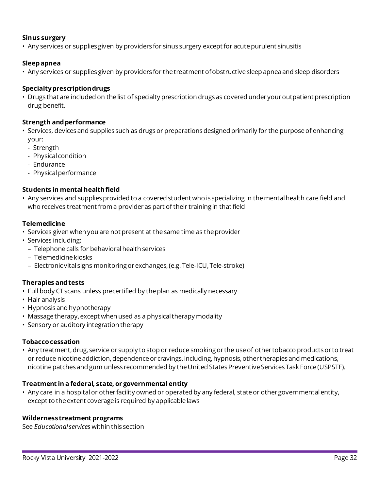#### **Sinus surgery**

• Any services or supplies given by providers for sinus surgery except for acute purulent sinusitis

#### **Sleep apnea**

• Any services or supplies given by providers for the treatment ofobstructive sleep apnea and sleep disorders

## **Specialtyprescriptiondrugs**

 • Drugs that are included on the list of specialty prescription drugs as covered under your outpatient prescription drug benefit.

#### **Strength and performance**

- • Services, devices and supplies such as drugs or preparations designed primarily for the purpose of enhancing your:
	- Strength
	- Physical condition
	- Endurance
	- Physical performance

#### **Students in mental healthfield**

 • Any services and supplies provided to a covered student who is specializing in the mental health care field and who receives treatment from a provider as part of their training in that field

#### **Telemedicine**

- Services given when you are not present at the same time as the provider
- Services including:
	- Telephone calls for behavioral health services
	- Telemedicine kiosks
	- Electronic vital signs monitoringorexchanges,(e.g. Tele-ICU, Tele-stroke)

#### **Therapies and tests**

- Full body CT scans unless precertified by the plan as medically necessary
- Hair analysis
- Hypnosis and hypnotherapy
- Massage therapy, except when used as a physical therapy modality
- Sensory or auditory integration therapy

#### **Tobacco cessation**

 • Any treatment, drug, service or supply to stop or reduce smoking or the use of other tobacco products or to treat or reduce nicotine addiction, dependence or cravings, including, hypnosis, other therapies and medications, nicotine patches and gum unless recommended by the United States Preventive Services Task Force (USPSTF).

#### **Treatment in a federal, state, or governmental entity**

 • Any care in a hospital or other facility owned or operated by any federal, state or other governmental entity, except to the extent coverage is required by applicable laws

#### **Wildernesstreatment programs**

See *Educational services* within this section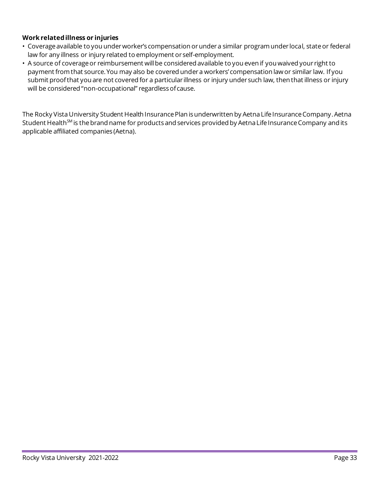## **Work related illness or injuries**

- Coverage available to you under worker's compensation or under a similar program under local, state or federal law for any illness or injury related to employment or self-employment.
- • A source of coverage or reimbursement will be considered available to you even if you waived your right to payment from that source.You may also be covered undera workers' compensation lawor similar law. Ifyou submit proofthat you are not covered for a particular illness or injury under such law, then that illness or injury will be considered "non-occupational" regardlessofcause.

The Rocky Vista University Student Health Insurance Plan is underwritten by Aetna Life Insurance Company. Aetna Student Health<sup>SM</sup> is the brand name for products and services provided by Aetna Life Insurance Company and its applicable affiliated companies (Aetna).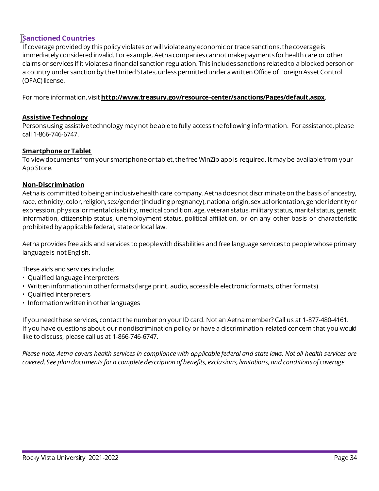# **Sanctioned Countries**

 If coverage provided by this policy violates or will violate any economic or trade sanctions, the coverage is immediately considered invalid.For example, Aetna companies cannot make payments for health care or other claims or services if it violates a financial sanction regulation.This includes sanctions related to a blocked person or a country under sanction by the United States, unless permitted under a written Office of Foreign Asset Control (OFAC) license.

Formore information, visit **<http://www.treasury.gov/resource-center/sanctions/Pages/default.aspx>**.

#### **Assistive Technology**

 Persons using assistive technology may not be able to fully access the following information. For assistance, please call 1-866-746-6747.

#### **Smartphone or Tablet**

 To view documents from your smartphone or tablet, the free WinZip app is required. It may be available from your App Store.

#### **Non-Discrimination**

 Aetna is committed to being an inclusive health care company.Aetna does not discriminate on the basis of ancestry, race, ethnicity, color, religion, sex/gender (including pregnancy), national origin, sexual orientation, gender identityor expression, physical or mental disability, medical condition, age, veteran status, military status, marital status, genetic information, citizenship status, unemployment status, political affiliation, or on any other basis or characteristic prohibited by applicable federal, state or local law.

 Aetna provides free aids and services to people with disabilities and free language services to people whose primary language is not English.

These aids and services include:

- Qualified language interpreters
- Written information in other formats (large print, audio, accessible electronic formats, other formats)
- Qualified interpreters
- Information written in other languages

 If you need these services, contact the number on your ID card. Not an Aetna member? Call us at 1-877-480-4161. If you have questions about our nondiscrimination policy or have a discrimination-related concern that you would like to discuss, please call us at 1-866-746-6747.

 *Please note, Aetna covers health services in compliance with applicable federal and state laws. Not all health services are covered. See plan documents for a completedescription of benefits, exclusions, limitations, and conditionsof coverage.*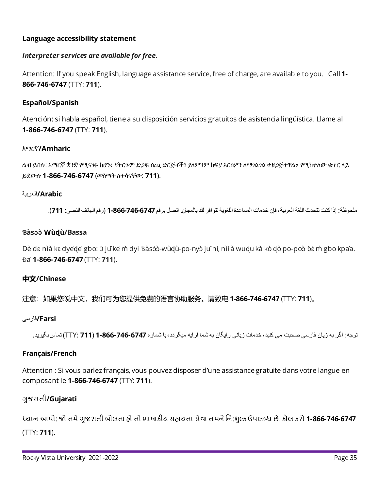## **Language accessibility statement**

# *Interpreter services are available for free.*

 Attention: If you speak English, language assistance service, free of charge, are available to you. Call **1 866-746-6747** (TTY: **711**).

# **Español/Spanish**

 Atención: si habla español, tiene a su disposición servicios gratuitos de asistencia lingüística. Llame al **1-866-746-6747** (TTY: **711**).

# አማርኛ**/Amharic**

ልብ ይበሉ: ኣማርኛ ቋንቋ የሚናገሩ ከሆነ፥ የትርጉም ድጋፍ ሰጪ ድርጅቶች፣ ያለምንም ክፍያ እርስዎን ለማገልገል ተዘጋጅተዋል። የሚከተለው ቁጥር ላይ ይደውሉ **1-866-746-6747** (መስማት ለተሳናቸው: **711**).

## **Arabic/** ة ٠برغل

ملحوظة: إذا كنت تتحدث اللغة العربية، فإن خدمات المساعدة اللغوية تتو افر لك بالمجان. اتصل برقم 146-6746-866-1 (رقم الهاتف النصي: 711).

## **Ɓàsɔ̍ ɔ̀Wùɖù/Bassa**

Dè dɛ nìà kɛ dyede gbo: ɔ jǔ ke m̀ dyi Ɓàsɔʻɔ-wùd̥ù-po-nyò jǔ ni, nìi à wud̥u kà kò d̥ò po-poɔ̀ ɓɛ m̀ gbo kpa'a. Ɖa̍ **1-866-746-6747** (TTY: **711**).

# **中文/Chinese**

注意:如果您说中文,我们可为您提供免费的语言协助服务。请致电 **1-866-746-6747** (TTY: **711**)。

## **Farsi/فار سی**

نوجه: اگر به زبان فارسی صحبت می کنید، خدمات زبانی رایگان به شما ارایه میگردد،با شماره **747-666-746-766 1711 )** تماسبگیرید.

## **Français/French**

Attention : Si vous parlez français, vous pouvez disposer d'une assistance gratuite dans votre langue en composant le **1-866-746-6747** (TTY: **711**).

# ગુજરાતી**/Gujarati**

ધ્યાન આપો: જો તમે ગુજરાતી બોલતા હો તો ભાષાકીય સહાયતા સેવા તમને નિ:શુલ્ક ઉપલબ્ધ છે. કૉલ કરો **1-866-746-6747** (TTY: **711**).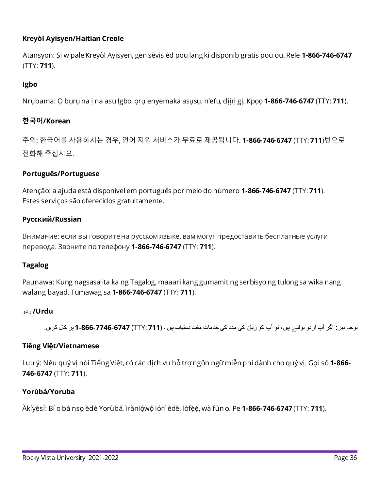## **Kreyòl Ayisyen/Haitian Creole**

 Atansyon: Si w pale Kreyòl Ayisyen, gen sèvis èd pou lang ki disponib gratis pou ou. Rele **1-866-746-6747**  (TTY: **711**).

## **Igbo**

Nrụbama: Ọ bụrụ na ị na asụ Igbo, ọrụ enyemaka asụsụ, n'efu, dịịrị gị. Kpọọ **1-866-746-6747** (TTY: **711**).

## **한국어/Korean**

주의: 한국어를 사용하시는 경욪, 언어 지원 서비스가 무료로 제공됩니다. **1-866-746-6747** (TTY: **711**)번으로 전화해 주십시오.

## **Português/Portuguese**

 Atenção: a ajuda está disponível em português por meio do número **1-866-746-6747** (TTY: **711**). Estes serviços são oferecidos gratuitamente.

## **Русский/Russian**

 Внимание: если вы говоритена русском языке, вам могут предоставить бесплатные услуги перевода. Звоните по телефону **1-866-746-6747** (TTY: **711**).

## **Tagalog**

 walang bayad. Tumawag sa **1-866-746-6747** (TTY: **711**). Paunawa: Kung nagsasalita ka ng Tagalog, maaari kang gumamit ng serbisyo ng tulong sa wika nang

## **Urdu/** ٚ در

نوجہ دیں: اگر آپ ار دو بولتے ہیں، تو آپ کو زبان کی مدد کی خدمات مفت دستیاب ہیں ۔ (TTY: **711) 7746-6747 وہ 1-866-1** پر کال کریں.

## **Tiếng Việt/Vietnamese**

 Lưu ý: Nếu quý vị nói Tiếng Việt, có các dịch vụ hỗ trợ ngôn ngữ miễn phí dành cho quý vị. Gọi số **1-866 746-6747** (TTY: **711**).

## **Yorùbá/Yoruba**

Àkíyªsí: Bí o bá nsọ ªdª Yorùbá, ®rànlọ́wọ́lórí èdè, lófẹ̀ẹ́, wà fún ọ. Pe **1-866-746-6747** (TTY: **711**).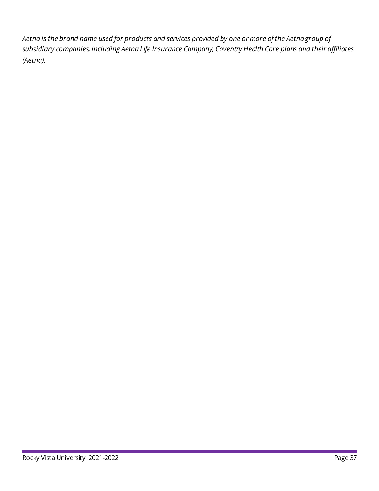*Aetna is the brand name used for products and services provided by one or more of the Aetna group of subsidiary companies, including Aetna Life Insurance Company, Coventry Health Care plans and their affiliates (Aetna).*